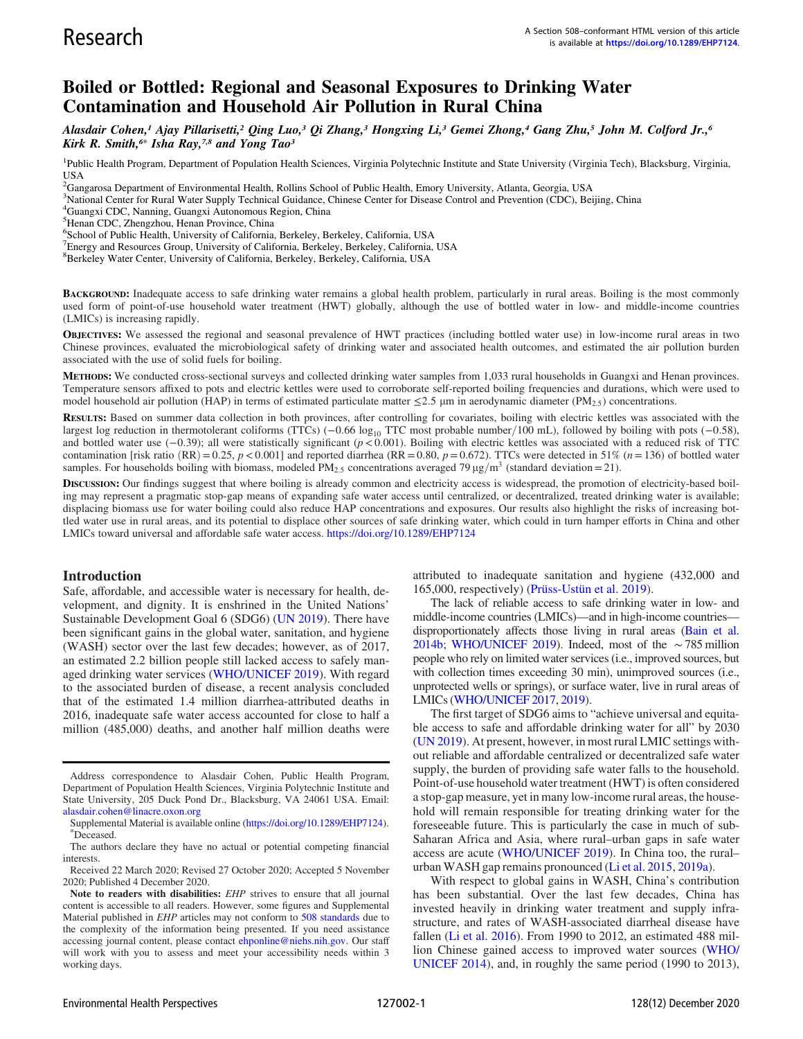# Boiled or Bottled: Regional and Seasonal Exposures to Drinking Water Contamination and Household Air Pollution in Rural China

Alasdair Cohen,<sup>1</sup> Ajay Pillarisetti,<sup>2</sup> Qing Luo,<sup>3</sup> Qi Zhang,<sup>3</sup> Hongxing Li,<sup>3</sup> Gemei Zhong,<sup>4</sup> Gang Zhu,<sup>5</sup> John M. Colford Jr.,<sup>6</sup> Kirk R. Smith,<sup>6[\\*](#page-0-0)</sup> Isha Ray,<sup>7,8</sup> and Yong Tao<sup>3</sup>

<sup>1</sup>Public Health Program, Department of Population Health Sciences, Virginia Polytechnic Institute and State University (Virginia Tech), Blacksburg, Virginia, USA

2 Gangarosa Department of Environmental Health, Rollins School of Public Health, Emory University, Atlanta, Georgia, USA

<sup>3</sup>National Center for Rural Water Supply Technical Guidance, Chinese Center for Disease Control and Prevention (CDC), Beijing, China

6 School of Public Health, University of California, Berkeley, Berkeley, California, USA

<sup>7</sup> Energy and Resources Group, University of California, Berkeley, Berkeley, California, USA

8 Berkeley Water Center, University of California, Berkeley, Berkeley, California, USA

BACKGROUND: Inadequate access to safe drinking water remains a global health problem, particularly in rural areas. Boiling is the most commonly used form of point-of-use household water treatment (HWT) globally, although the use of bottled water in low- and middle-income countries (LMICs) is increasing rapidly.

OBJECTIVES: We assessed the regional and seasonal prevalence of HWT practices (including bottled water use) in low-income rural areas in two Chinese provinces, evaluated the microbiological safety of drinking water and associated health outcomes, and estimated the air pollution burden associated with the use of solid fuels for boiling.

METHODS: We conducted cross-sectional surveys and collected drinking water samples from 1,033 rural households in Guangxi and Henan provinces. Temperature sensors affixed to pots and electric kettles were used to corroborate self-reported boiling frequencies and durations, which were used to model household air pollution (HAP) in terms of estimated particulate matter  $\leq$ 2.5 µm in aerodynamic diameter (PM<sub>2.5</sub>) concentrations.

RESULTS: Based on summer data collection in both provinces, after controlling for covariates, boiling with electric kettles was associated with the largest log reduction in thermotolerant coliforms (TTCs) (−0.66 log<sub>10</sub> TTC most probable number/100 mL), followed by boiling with pots (−0.58), and bottled water use (−0:39); all were statistically significant (p< 0:001). Boiling with electric kettles was associated with a reduced risk of TTC contamination [risk ratio (RR) = 0.25, p < 0.001] and reported diarrhea (RR = 0.80, p = 0.672). TTCs were detected in 51% (n= 136) of bottled water samples. For households boiling with biomass, modeled PM<sub>2.5</sub> concentrations averaged 79  $\mu$ g/m<sup>3</sup> (standard deviation = 21).

DISCUSSION: Our findings suggest that where boiling is already common and electricity access is widespread, the promotion of electricity-based boiling may represent a pragmatic stop-gap means of expanding safe water access until centralized, or decentralized, treated drinking water is available; displacing biomass use for water boiling could also reduce HAP concentrations and exposures. Our results also highlight the risks of increasing bottled water use in rural areas, and its potential to displace other sources of safe drinking water, which could in turn hamper efforts in China and other LMICs toward universal and affordable safe water access. <https://doi.org/10.1289/EHP7124>

## Introduction

Safe, affordable, and accessible water is necessary for health, development, and dignity. It is enshrined in the United Nations' Sustainable Development Goal 6 (SDG6) [\(UN 2019\)](#page-12-0). There have been significant gains in the global water, sanitation, and hygiene (WASH) sector over the last few decades; however, as of 2017, an estimated 2.2 billion people still lacked access to safely managed drinking water services [\(WHO/UNICEF 2019](#page-12-1)). With regard to the associated burden of disease, a recent analysis concluded that of the estimated 1.4 million diarrhea-attributed deaths in 2016, inadequate safe water access accounted for close to half a million (485,000) deaths, and another half million deaths were

attributed to inadequate sanitation and hygiene (432,000 and 165,000, respectively) ([Prüss-Ustün et al. 2019](#page-12-2)).

The lack of reliable access to safe drinking water in low- and middle-income countries (LMICs)—and in high-income countries disproportionately affects those living in rural areas [\(Bain et al.](#page-11-0) [2014b;](#page-11-0) [WHO/UNICEF 2019](#page-12-1)). Indeed, most of the ∼785 million people who rely on limited water services (i.e., improved sources, but with collection times exceeding 30 min), unimproved sources (i.e., unprotected wells or springs), or surface water, live in rural areas of LMICs [\(WHO/UNICEF 2017,](#page-12-3) [2019](#page-12-1)).

The first target of SDG6 aims to "achieve universal and equitable access to safe and affordable drinking water for all" by 2030 [\(UN 2019\)](#page-12-0). At present, however, in most rural LMIC settings without reliable and affordable centralized or decentralized safe water supply, the burden of providing safe water falls to the household. Point-of-use household water treatment (HWT) is often considered a stop-gap measure, yet in many low-income rural areas, the household will remain responsible for treating drinking water for the foreseeable future. This is particularly the case in much of sub-Saharan Africa and Asia, where rural–urban gaps in safe water access are acute ([WHO/UNICEF 2019](#page-12-1)). In China too, the rural– urban WASH gap remains pronounced [\(Li et al. 2015,](#page-12-4) [2019a](#page-12-5)).

With respect to global gains in WASH, China's contribution has been substantial. Over the last few decades, China has invested heavily in drinking water treatment and supply infrastructure, and rates of WASH-associated diarrheal disease have fallen [\(Li et al. 2016\)](#page-12-6). From 1990 to 2012, an estimated 488 million Chinese gained access to improved water sources ([WHO/](#page-12-7) [UNICEF 2014](#page-12-7)), and, in roughly the same period (1990 to 2013),

<sup>4</sup> Guangxi CDC, Nanning, Guangxi Autonomous Region, China

<sup>5</sup> Henan CDC, Zhengzhou, Henan Province, China

Address correspondence to Alasdair Cohen, Public Health Program, Department of Population Health Sciences, Virginia Polytechnic Institute and State University, 205 Duck Pond Dr., Blacksburg, VA 24061 USA. Email: [alasdair.cohen@linacre.oxon.org](mailto:alasdair.cohen@linacre.oxon.org)

<span id="page-0-0"></span>Supplemental Material is available online (<https://doi.org/10.1289/EHP7124>). Deceased.

The authors declare they have no actual or potential competing financial interests.

Received 22 March 2020; Revised 27 October 2020; Accepted 5 November 2020; Published 4 December 2020.

Note to readers with disabilities: EHP strives to ensure that all journal content is accessible to all readers. However, some figures and Supplemental Material published in EHP articles may not conform to [508 standards](http://ehp.niehs.nih.gov/accessibility/) due to the complexity of the information being presented. If you need assistance accessing journal content, please contact [ehponline@niehs.nih.gov.](mailto:ehponline@niehs.nih.gov) Our staff will work with you to assess and meet your accessibility needs within 3 working days.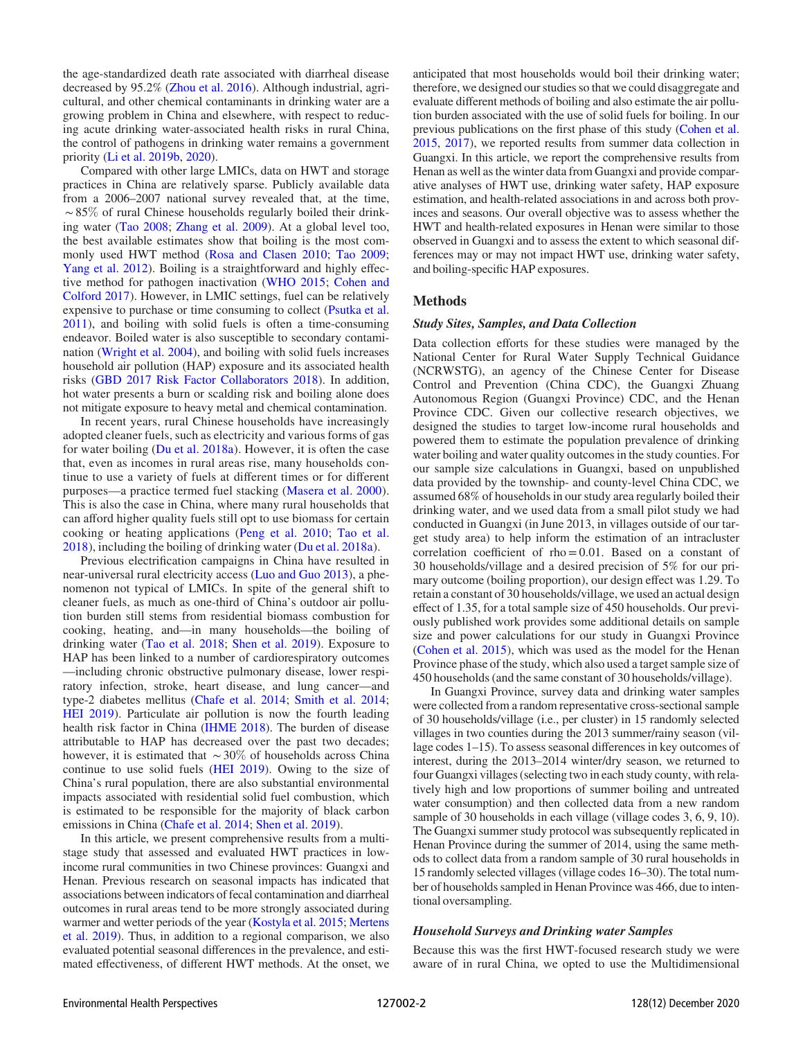the age-standardized death rate associated with diarrheal disease decreased by 95.2% [\(Zhou et al. 2016](#page-12-8)). Although industrial, agricultural, and other chemical contaminants in drinking water are a growing problem in China and elsewhere, with respect to reducing acute drinking water-associated health risks in rural China, the control of pathogens in drinking water remains a government priority ([Li et al. 2019b](#page-12-9), [2020\)](#page-12-10).

Compared with other large LMICs, data on HWT and storage practices in China are relatively sparse. Publicly available data from a 2006–2007 national survey revealed that, at the time, ∼85% of rural Chinese households regularly boiled their drinking water [\(Tao 2008](#page-12-11); [Zhang et al. 2009](#page-12-12)). At a global level too, the best available estimates show that boiling is the most commonly used HWT method ([Rosa and Clasen 2010;](#page-12-13) [Tao 2009](#page-12-14); [Yang et al. 2012\)](#page-12-15). Boiling is a straightforward and highly effective method for pathogen inactivation [\(WHO 2015](#page-12-16); [Cohen and](#page-11-1) [Colford 2017](#page-11-1)). However, in LMIC settings, fuel can be relatively expensive to purchase or time consuming to collect [\(Psutka et al.](#page-12-17) [2011](#page-12-17)), and boiling with solid fuels is often a time-consuming endeavor. Boiled water is also susceptible to secondary contamination [\(Wright et al. 2004](#page-12-18)), and boiling with solid fuels increases household air pollution (HAP) exposure and its associated health risks ([GBD 2017 Risk Factor Collaborators 2018\)](#page-11-2). In addition, hot water presents a burn or scalding risk and boiling alone does not mitigate exposure to heavy metal and chemical contamination.

In recent years, rural Chinese households have increasingly adopted cleaner fuels, such as electricity and various forms of gas for water boiling ([Du et al. 2018a](#page-11-3)). However, it is often the case that, even as incomes in rural areas rise, many households continue to use a variety of fuels at different times or for different purposes—a practice termed fuel stacking ([Masera et al. 2000](#page-12-19)). This is also the case in China, where many rural households that can afford higher quality fuels still opt to use biomass for certain cooking or heating applications ([Peng et al. 2010](#page-12-20); [Tao et al.](#page-12-21) [2018](#page-12-21)), including the boiling of drinking water [\(Du et al. 2018a\)](#page-11-3).

Previous electrification campaigns in China have resulted in near-universal rural electricity access [\(Luo and Guo 2013\)](#page-12-22), a phenomenon not typical of LMICs. In spite of the general shift to cleaner fuels, as much as one-third of China's outdoor air pollution burden still stems from residential biomass combustion for cooking, heating, and—in many households—the boiling of drinking water [\(Tao et al. 2018](#page-12-21); [Shen et al. 2019\)](#page-12-23). Exposure to HAP has been linked to a number of cardiorespiratory outcomes —including chronic obstructive pulmonary disease, lower respiratory infection, stroke, heart disease, and lung cancer—and type-2 diabetes mellitus ([Chafe et al. 2014](#page-11-4); [Smith et al. 2014](#page-12-24); [HEI 2019](#page-11-5)). Particulate air pollution is now the fourth leading health risk factor in China [\(IHME 2018\)](#page-12-25). The burden of disease attributable to HAP has decreased over the past two decades; however, it is estimated that ∼30% of households across China continue to use solid fuels ([HEI 2019\)](#page-11-5). Owing to the size of China's rural population, there are also substantial environmental impacts associated with residential solid fuel combustion, which is estimated to be responsible for the majority of black carbon emissions in China ([Chafe et al. 2014](#page-11-4); [Shen et al. 2019](#page-12-23)).

In this article, we present comprehensive results from a multistage study that assessed and evaluated HWT practices in lowincome rural communities in two Chinese provinces: Guangxi and Henan. Previous research on seasonal impacts has indicated that associations between indicators of fecal contamination and diarrheal outcomes in rural areas tend to be more strongly associated during warmer and wetter periods of the year ([Kostyla et al. 2015;](#page-12-26) [Mertens](#page-12-27) [et al. 2019](#page-12-27)). Thus, in addition to a regional comparison, we also evaluated potential seasonal differences in the prevalence, and estimated effectiveness, of different HWT methods. At the onset, we anticipated that most households would boil their drinking water; therefore, we designed our studies so that we could disaggregate and evaluate different methods of boiling and also estimate the air pollution burden associated with the use of solid fuels for boiling. In our previous publications on the first phase of this study [\(Cohen et al.](#page-11-6) [2015,](#page-11-6) [2017](#page-11-7)), we reported results from summer data collection in Guangxi. In this article, we report the comprehensive results from Henan as well as the winter data from Guangxi and provide comparative analyses of HWT use, drinking water safety, HAP exposure estimation, and health-related associations in and across both provinces and seasons. Our overall objective was to assess whether the HWT and health-related exposures in Henan were similar to those observed in Guangxi and to assess the extent to which seasonal differences may or may not impact HWT use, drinking water safety, and boiling-specific HAP exposures.

## Methods

#### Study Sites, Samples, and Data Collection

Data collection efforts for these studies were managed by the National Center for Rural Water Supply Technical Guidance (NCRWSTG), an agency of the Chinese Center for Disease Control and Prevention (China CDC), the Guangxi Zhuang Autonomous Region (Guangxi Province) CDC, and the Henan Province CDC. Given our collective research objectives, we designed the studies to target low-income rural households and powered them to estimate the population prevalence of drinking water boiling and water quality outcomes in the study counties. For our sample size calculations in Guangxi, based on unpublished data provided by the township- and county-level China CDC, we assumed 68% of households in our study area regularly boiled their drinking water, and we used data from a small pilot study we had conducted in Guangxi (in June 2013, in villages outside of our target study area) to help inform the estimation of an intracluster correlation coefficient of  $rho = 0.01$ . Based on a constant of 30 households/village and a desired precision of 5% for our primary outcome (boiling proportion), our design effect was 1.29. To retain a constant of 30 households/village, we used an actual design effect of 1.35, for a total sample size of 450 households. Our previously published work provides some additional details on sample size and power calculations for our study in Guangxi Province [\(Cohen et al. 2015\)](#page-11-6), which was used as the model for the Henan Province phase of the study, which also used a target sample size of 450 households (and the same constant of 30 households/village).

In Guangxi Province, survey data and drinking water samples were collected from a random representative cross-sectional sample of 30 households/village (i.e., per cluster) in 15 randomly selected villages in two counties during the 2013 summer/rainy season (village codes 1–15). To assess seasonal differences in key outcomes of interest, during the 2013–2014 winter/dry season, we returned to four Guangxi villages (selecting two in each study county, with relatively high and low proportions of summer boiling and untreated water consumption) and then collected data from a new random sample of 30 households in each village (village codes 3, 6, 9, 10). The Guangxi summer study protocol was subsequently replicated in Henan Province during the summer of 2014, using the same methods to collect data from a random sample of 30 rural households in 15 randomly selected villages (village codes 16–30). The total number of households sampled in Henan Province was 466, due to intentional oversampling.

#### Household Surveys and Drinking water Samples

Because this was the first HWT-focused research study we were aware of in rural China, we opted to use the Multidimensional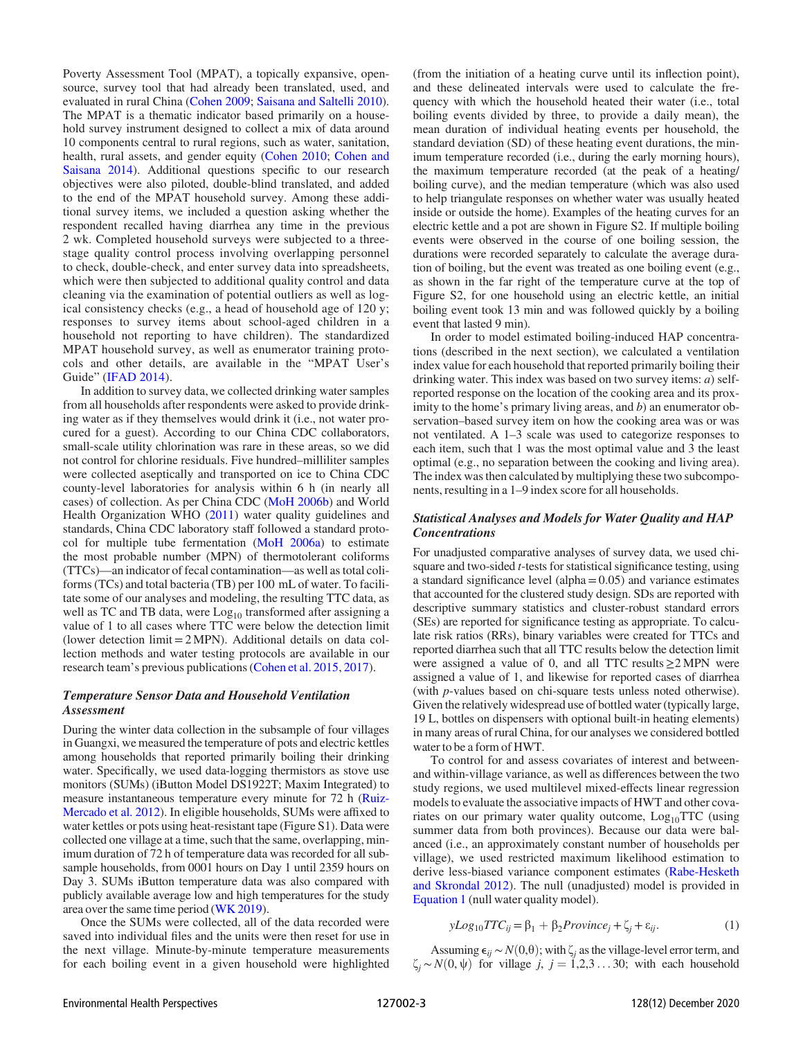Poverty Assessment Tool (MPAT), a topically expansive, opensource, survey tool that had already been translated, used, and evaluated in rural China ([Cohen 2009;](#page-11-8) [Saisana and Saltelli 2010](#page-12-28)). The MPAT is a thematic indicator based primarily on a household survey instrument designed to collect a mix of data around 10 components central to rural regions, such as water, sanitation, health, rural assets, and gender equity [\(Cohen 2010](#page-11-9); [Cohen and](#page-11-10) [Saisana 2014](#page-11-10)). Additional questions specific to our research objectives were also piloted, double-blind translated, and added to the end of the MPAT household survey. Among these additional survey items, we included a question asking whether the respondent recalled having diarrhea any time in the previous 2 wk. Completed household surveys were subjected to a threestage quality control process involving overlapping personnel to check, double-check, and enter survey data into spreadsheets, which were then subjected to additional quality control and data cleaning via the examination of potential outliers as well as logical consistency checks (e.g., a head of household age of 120 y; responses to survey items about school-aged children in a household not reporting to have children). The standardized MPAT household survey, as well as enumerator training protocols and other details, are available in the "MPAT User's Guide" ([IFAD 2014](#page-12-29)).

In addition to survey data, we collected drinking water samples from all households after respondents were asked to provide drinking water as if they themselves would drink it (i.e., not water procured for a guest). According to our China CDC collaborators, small-scale utility chlorination was rare in these areas, so we did not control for chlorine residuals. Five hundred–milliliter samples were collected aseptically and transported on ice to China CDC county-level laboratories for analysis within 6 h (in nearly all cases) of collection. As per China CDC [\(MoH 2006b\)](#page-12-30) and World Health Organization WHO ([2011\)](#page-12-31) water quality guidelines and standards, China CDC laboratory staff followed a standard protocol for multiple tube fermentation [\(MoH 2006a](#page-12-32)) to estimate the most probable number (MPN) of thermotolerant coliforms (TTCs)—an indicator of fecal contamination—as well as total coliforms (TCs) and total bacteria (TB) per 100 mL of water. To facilitate some of our analyses and modeling, the resulting TTC data, as well as TC and TB data, were  $Log_{10}$  transformed after assigning a value of 1 to all cases where TTC were below the detection limit (lower detection  $\lim_{x \to 2}$  MPN). Additional details on data collection methods and water testing protocols are available in our research team's previous publications [\(Cohen et al. 2015](#page-11-6), [2017](#page-11-7)).

## Temperature Sensor Data and Household Ventilation Assessment

During the winter data collection in the subsample of four villages in Guangxi, we measured the temperature of pots and electric kettles among households that reported primarily boiling their drinking water. Specifically, we used data-logging thermistors as stove use monitors (SUMs) (iButton Model DS1922T; Maxim Integrated) to measure instantaneous temperature every minute for 72 h [\(Ruiz-](#page-12-33)[Mercado et al. 2012](#page-12-33)). In eligible households, SUMs were affixed to water kettles or pots using heat-resistant tape (Figure S1). Data were collected one village at a time, such that the same, overlapping, minimum duration of 72 h of temperature data was recorded for all subsample households, from 0001 hours on Day 1 until 2359 hours on Day 3. SUMs iButton temperature data was also compared with publicly available average low and high temperatures for the study area over the same time period [\(WK 2019](#page-12-34)).

Once the SUMs were collected, all of the data recorded were saved into individual files and the units were then reset for use in the next village. Minute-by-minute temperature measurements for each boiling event in a given household were highlighted (from the initiation of a heating curve until its inflection point), and these delineated intervals were used to calculate the frequency with which the household heated their water (i.e., total boiling events divided by three, to provide a daily mean), the mean duration of individual heating events per household, the standard deviation (SD) of these heating event durations, the minimum temperature recorded (i.e., during the early morning hours), the maximum temperature recorded (at the peak of a heating/ boiling curve), and the median temperature (which was also used to help triangulate responses on whether water was usually heated inside or outside the home). Examples of the heating curves for an electric kettle and a pot are shown in Figure S2. If multiple boiling events were observed in the course of one boiling session, the durations were recorded separately to calculate the average duration of boiling, but the event was treated as one boiling event (e.g., as shown in the far right of the temperature curve at the top of Figure S2, for one household using an electric kettle, an initial boiling event took 13 min and was followed quickly by a boiling event that lasted 9 min).

In order to model estimated boiling-induced HAP concentrations (described in the next section), we calculated a ventilation index value for each household that reported primarily boiling their drinking water. This index was based on two survey items: *a*) selfreported response on the location of the cooking area and its proximity to the home's primary living areas, and  $b$ ) an enumerator observation–based survey item on how the cooking area was or was not ventilated. A 1–3 scale was used to categorize responses to each item, such that 1 was the most optimal value and 3 the least optimal (e.g., no separation between the cooking and living area). The index was then calculated by multiplying these two subcomponents, resulting in a 1–9 index score for all households.

## Statistical Analyses and Models for Water Quality and HAP **Concentrations**

For unadjusted comparative analyses of survey data, we used chisquare and two-sided *t*-tests for statistical significance testing, using a standard significance level (alpha  $= 0.05$ ) and variance estimates that accounted for the clustered study design. SDs are reported with descriptive summary statistics and cluster-robust standard errors (SEs) are reported for significance testing as appropriate. To calculate risk ratios (RRs), binary variables were created for TTCs and reported diarrhea such that all TTC results below the detection limit were assigned a value of 0, and all TTC results≥2 MPN were assigned a value of 1, and likewise for reported cases of diarrhea (with p-values based on chi-square tests unless noted otherwise). Given the relatively widespread use of bottled water (typically large, 19 L, bottles on dispensers with optional built-in heating elements) in many areas of rural China, for our analyses we considered bottled water to be a form of HWT.

To control for and assess covariates of interest and betweenand within-village variance, as well as differences between the two study regions, we used multilevel mixed-effects linear regression models to evaluate the associative impacts of HWT and other covariates on our primary water quality outcome,  $Log_{10}TTC$  (using summer data from both provinces). Because our data were balanced (i.e., an approximately constant number of households per village), we used restricted maximum likelihood estimation to derive less-biased variance component estimates [\(Rabe-Hesketh](#page-12-35) [and Skrondal 2012](#page-12-35)). The null (unadjusted) model is provided in [Equation 1](#page-2-0) (null water quality model).

<span id="page-2-0"></span>
$$
yLog_{10}TTC_{ij} = \beta_1 + \beta_2 Province_j + \zeta_j + \varepsilon_{ij}.
$$
 (1)

Assuming  $\epsilon_{ij}$  ~  $N(0,\theta)$ ; with  $\zeta_j$  as the village-level error term, and  $\zeta_i \sim N(0, \psi)$  for village j, j = 1,2,3 ... 30; with each household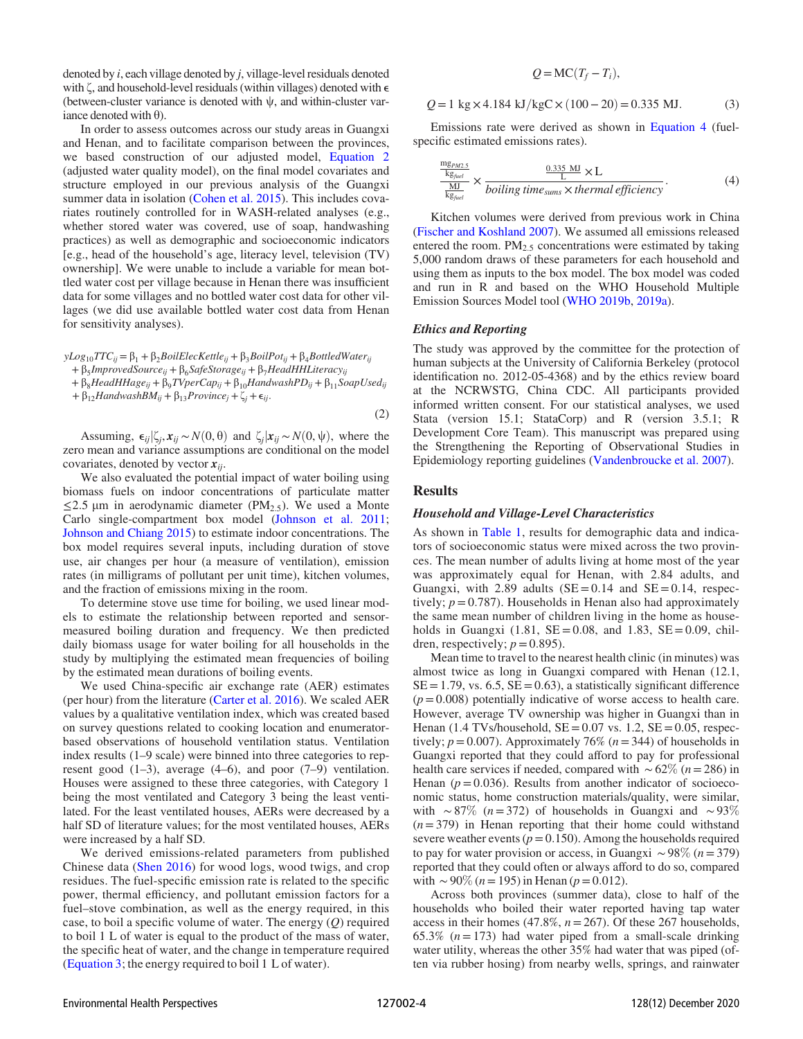denoted by  $i$ , each village denoted by  $j$ , village-level residuals denoted with  $\zeta$ , and household-level residuals (within villages) denoted with  $\epsilon$ (between-cluster variance is denoted with  $\psi$ , and within-cluster variance denoted with  $\theta$ ).

In order to assess outcomes across our study areas in Guangxi and Henan, and to facilitate comparison between the provinces, we based construction of our adjusted model, [Equation 2](#page-3-0) (adjusted water quality model), on the final model covariates and structure employed in our previous analysis of the Guangxi summer data in isolation [\(Cohen et al. 2015\)](#page-11-6). This includes covariates routinely controlled for in WASH-related analyses (e.g., whether stored water was covered, use of soap, handwashing practices) as well as demographic and socioeconomic indicators [e.g., head of the household's age, literacy level, television (TV) ownership]. We were unable to include a variable for mean bottled water cost per village because in Henan there was insufficient data for some villages and no bottled water cost data for other villages (we did use available bottled water cost data from Henan for sensitivity analyses).

<span id="page-3-0"></span> $yLog_{10}TTC_{ij} = \beta_1 + \beta_2 BoilElecKettle_{ij} + \beta_3 BoilPot_{ij} + \beta_4 BottledWater_{ij}$ 

+  $\beta_5$ *ImprovedSource*<sub>ij</sub> +  $\beta_6$ *SafeStorage*<sub>ij</sub> +  $\beta_7$ *HeadHHLiteracy*<sub>ij</sub>

+  $\beta_8$ HeadHHage<sub>ij</sub> +  $\beta_9$ TVperCap<sub>ij</sub> +  $\beta_{10}$ HandwashPD<sub>ij</sub> +  $\beta_{11}$ SoapUsed<sub>ij</sub> +  $\beta_{12}$ HandwashBM<sub>ij</sub> +  $\beta_{13}$ Province<sub>j</sub> +  $\zeta_j$  +  $\epsilon_{ij}$ .

Assuming,  $\epsilon_{ij}|\zeta_i, x_{ij} \sim N(0, \theta)$  and  $\zeta_i|x_{ij} \sim N(0, \psi)$ , where the zero mean and variance assumptions are conditional on the model covariates, denoted by vector  $x_{ij}$ .

We also evaluated the potential impact of water boiling using biomass fuels on indoor concentrations of particulate matter  $\leq$ 2.5 µm in aerodynamic diameter (PM<sub>2.5</sub>). We used a Monte Carlo single-compartment box model [\(Johnson et al. 2011](#page-12-36); [Johnson and Chiang 2015](#page-12-37)) to estimate indoor concentrations. The box model requires several inputs, including duration of stove use, air changes per hour (a measure of ventilation), emission rates (in milligrams of pollutant per unit time), kitchen volumes, and the fraction of emissions mixing in the room.

To determine stove use time for boiling, we used linear models to estimate the relationship between reported and sensormeasured boiling duration and frequency. We then predicted daily biomass usage for water boiling for all households in the study by multiplying the estimated mean frequencies of boiling by the estimated mean durations of boiling events.

We used China-specific air exchange rate (AER) estimates (per hour) from the literature ([Carter et al. 2016\)](#page-11-11). We scaled AER values by a qualitative ventilation index, which was created based on survey questions related to cooking location and enumeratorbased observations of household ventilation status. Ventilation index results (1–9 scale) were binned into three categories to represent good  $(1-3)$ , average  $(4-6)$ , and poor  $(7-9)$  ventilation. Houses were assigned to these three categories, with Category 1 being the most ventilated and Category 3 being the least ventilated. For the least ventilated houses, AERs were decreased by a half SD of literature values; for the most ventilated houses, AERs were increased by a half SD.

We derived emissions-related parameters from published Chinese data [\(Shen 2016](#page-12-38)) for wood logs, wood twigs, and crop residues. The fuel-specific emission rate is related to the specific power, thermal efficiency, and pollutant emission factors for a fuel–stove combination, as well as the energy required, in this case, to boil a specific volume of water. The energy  $(Q)$  required to boil 1 L of water is equal to the product of the mass of water, the specific heat of water, and the change in temperature required [\(Equation 3;](#page-3-1) the energy required to boil 1 L of water).

## $Q = MC(T_f - T_i),$

<span id="page-3-1"></span>
$$
Q = 1 \text{ kg} \times 4.184 \text{ kJ/kgC} \times (100 - 20) = 0.335 \text{ MJ.}
$$
 (3)

<span id="page-3-2"></span>Emissions rate were derived as shown in [Equation 4](#page-3-2) (fuelspecific estimated emissions rates).

$$
\frac{\frac{mg_{PMC,5}}{kg_{field}}}{\frac{ML}{kg_{field}}} \times \frac{\frac{0.335 \text{ MJ}}{L} \times L}{boiling \, time_{sum} \times thermal \, efficiency}.
$$
\n(4)

Kitchen volumes were derived from previous work in China [\(Fischer and Koshland 2007](#page-11-12)). We assumed all emissions released entered the room.  $PM_{2.5}$  concentrations were estimated by taking 5,000 random draws of these parameters for each household and using them as inputs to the box model. The box model was coded and run in R and based on the WHO Household Multiple Emission Sources Model tool [\(WHO 2019b,](#page-12-39) [2019a\)](#page-12-40).

#### Ethics and Reporting

The study was approved by the committee for the protection of human subjects at the University of California Berkeley (protocol identification no. 2012-05-4368) and by the ethics review board at the NCRWSTG, China CDC. All participants provided informed written consent. For our statistical analyses, we used Stata (version 15.1; StataCorp) and R (version 3.5.1; R Development Core Team). This manuscript was prepared using the Strengthening the Reporting of Observational Studies in Epidemiology reporting guidelines [\(Vandenbroucke et al. 2007](#page-12-41)).

## Results

(2)

#### Household and Village-Level Characteristics

As shown in [Table 1](#page-4-0), results for demographic data and indicators of socioeconomic status were mixed across the two provinces. The mean number of adults living at home most of the year was approximately equal for Henan, with 2.84 adults, and Guangxi, with 2.89 adults  $(SE = 0.14$  and  $SE = 0.14$ , respectively;  $p = 0.787$ ). Households in Henan also had approximately the same mean number of children living in the home as households in Guangxi  $(1.81, SE = 0.08, and 1.83, SE = 0.09, chil$ dren, respectively;  $p = 0.895$ ).

Mean time to travel to the nearest health clinic (in minutes) was almost twice as long in Guangxi compared with Henan (12.1,  $SE = 1.79$ , vs. 6.5,  $SE = 0.63$ ), a statistically significant difference  $(p= 0.008)$  potentially indicative of worse access to health care. However, average TV ownership was higher in Guangxi than in Henan (1.4 TVs/household,  $SE = 0.07$  vs. 1.2,  $SE = 0.05$ , respectively;  $p = 0.007$ ). Approximately 76% ( $n = 344$ ) of households in Guangxi reported that they could afford to pay for professional health care services if needed, compared with  $\sim 62\%$  (n= 286) in Henan ( $p = 0.036$ ). Results from another indicator of socioeconomic status, home construction materials/quality, were similar, with ∼87% ( $n=372$ ) of households in Guangxi and ~93%  $(n= 379)$  in Henan reporting that their home could withstand severe weather events ( $p = 0.150$ ). Among the households required to pay for water provision or access, in Guangxi  $\sim 98\%$  (n=379) reported that they could often or always afford to do so, compared with ~90% (*n* = 195) in Henan (*p* = 0.012).

Across both provinces (summer data), close to half of the households who boiled their water reported having tap water access in their homes (47.8%,  $n = 267$ ). Of these 267 households, 65.3% ( $n = 173$ ) had water piped from a small-scale drinking water utility, whereas the other 35% had water that was piped (often via rubber hosing) from nearby wells, springs, and rainwater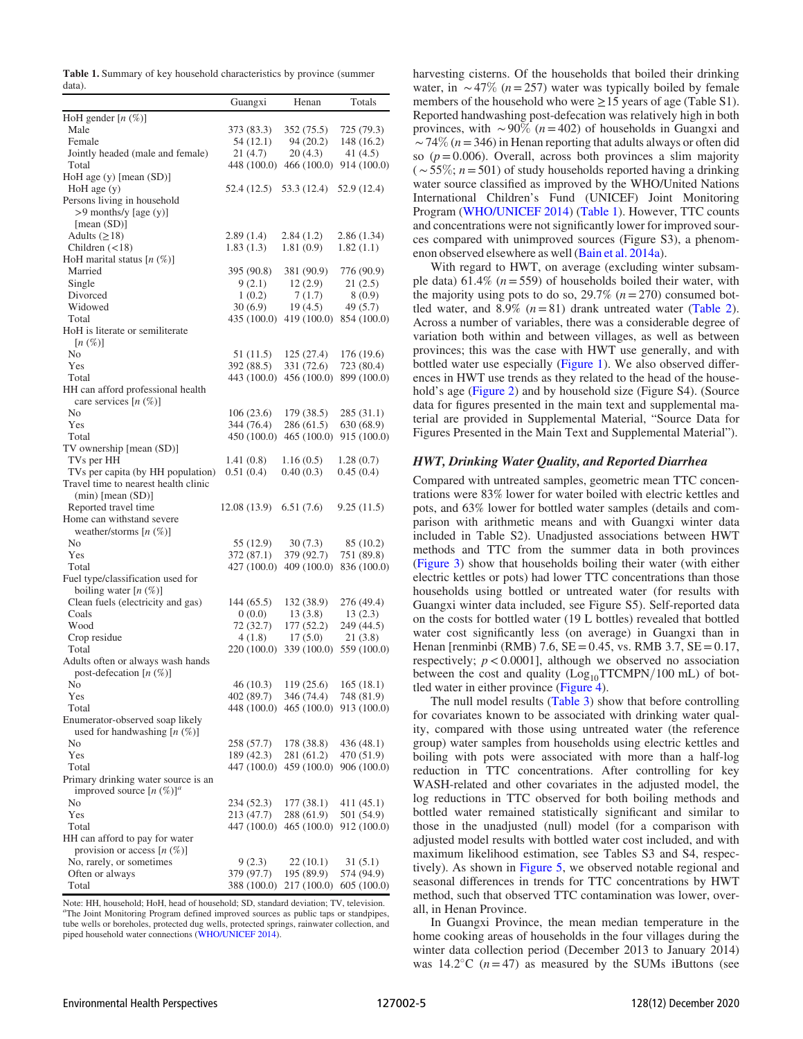<span id="page-4-0"></span>Table 1. Summary of key household characteristics by province (summer data).

|                                                               | Guangxi                   | Henan                     | Totals                    |
|---------------------------------------------------------------|---------------------------|---------------------------|---------------------------|
| HoH gender $[n \, (\%)]$                                      |                           |                           |                           |
| Male                                                          | 373 (83.3)                | 352 (75.5)                | 725 (79.3)                |
| Female                                                        | 54(12.1)                  | 94(20.2)                  | 148 (16.2)                |
| Jointly headed (male and female)                              | 21(4.7)                   | 20(4.3)                   | 41 (4.5)                  |
| Total                                                         | 448 (100.0)               | 466 (100.0)               | 914 (100.0)               |
| HoH age $(y)$ [mean $(SD)$ ]                                  |                           |                           |                           |
| $HoH$ age $(y)$                                               | 52.4 (12.5)               | 53.3 (12.4)               | 52.9 (12.4)               |
| Persons living in household                                   |                           |                           |                           |
| $>9$ months/y [age (y)]                                       |                           |                           |                           |
| [mean (SD)]                                                   |                           |                           |                           |
| Adults $(\geq 18)$                                            | 2.89(1.4)                 | 2.84(1.2)<br>1.81(0.9)    | 2.86(1.34)                |
| Children $(<18)$<br>HoH marital status $[n \ (\%)]$           | 1.83(1.3)                 |                           | 1.82(1.1)                 |
| Married                                                       | 395 (90.8)                | 381 (90.9)                | 776 (90.9)                |
| Single                                                        | 9(2.1)                    | 12(2.9)                   | 21 (2.5)                  |
| Divorced                                                      | 1(0.2)                    | 7(1.7)                    | 8 (0.9)                   |
| Widowed                                                       | 30(6.9)                   | 19 (4.5)                  | 49 (5.7)                  |
| Total                                                         | 435 (100.0)               | 419 (100.0)               | 854 (100.0)               |
| HoH is literate or semiliterate                               |                           |                           |                           |
| $[n \left( \% \right)]$                                       |                           |                           |                           |
| No                                                            | 51 (11.5)                 | 125 (27.4)                | 176 (19.6)                |
| Yes                                                           | 392 (88.5)                | 331 (72.6)                | 723 (80.4)                |
| Total                                                         | 443 (100.0)               | 456 (100.0)               | 899 (100.0)               |
| HH can afford professional health<br>care services $[n (\%)]$ |                           |                           |                           |
| N <sub>0</sub>                                                | 106(23.6)                 | 179 (38.5)                | 285(31.1)                 |
| Yes                                                           | 344 (76.4)                | 286 (61.5)                | 630 (68.9)                |
| Total                                                         | 450 (100.0)               | 465 (100.0)               | 915 (100.0)               |
| TV ownership [mean (SD)]                                      |                           |                           |                           |
| TVs per HH<br>TVs per capita (by HH population)               | 1.41(0.8)<br>0.51(0.4)    | 1.16(0.5)<br>0.40(0.3)    | 1.28(0.7)<br>0.45(0.4)    |
| Travel time to nearest health clinic                          |                           |                           |                           |
| $(min)$ [mean $(SD)$ ]<br>Reported travel time                |                           |                           |                           |
| Home can withstand severe                                     | 12.08 (13.9)              | 6.51(7.6)                 | 9.25(11.5)                |
| weather/storms $[n (\%)]$                                     |                           |                           |                           |
| No                                                            | 55 (12.9)                 | 30(7.3)                   | 85 (10.2)                 |
| Yes                                                           | 372 (87.1)                | 379 (92.7)                | 751 (89.8)                |
| Total                                                         | 427 (100.0)               | 409 (100.0)               | 836 (100.0)               |
| Fuel type/classification used for                             |                           |                           |                           |
| boiling water $[n (\%)]$                                      |                           |                           |                           |
| Clean fuels (electricity and gas)                             | 144 (65.5)                | 132 (38.9)                | 276 (49.4)                |
| Coals                                                         | 0(0.0)                    | 13(3.8)                   | 13(2.3)                   |
| Wood                                                          | 72 (32.7)                 | 177(52.2)                 | 249 (44.5)                |
| Crop residue                                                  | 4(1.8)                    | 17(5.0)                   | 21(3.8)                   |
| Total                                                         | 220 (100.0)               | 339 (100.0)               | 559 (100.0)               |
| Adults often or always wash hands                             |                           |                           |                           |
| post-defecation $[n (\%)]$                                    |                           |                           |                           |
| No                                                            | 46(10.3)                  | 119 (25.6)                | 165(18.1)                 |
| Yes<br>Total                                                  | 402 (89.7)<br>448 (100.0) | 346 (74.4)<br>465 (100.0) | 748 (81.9)<br>913 (100.0) |
| Enumerator-observed soap likely                               |                           |                           |                           |
| used for handwashing $[n (\%)]$                               |                           |                           |                           |
| No                                                            | 258 (57.7)                | 178 (38.8)                | 436 (48.1)                |
| Yes                                                           | 189 (42.3)                | 281 (61.2)                | 470 (51.9)                |
| Total                                                         | 447 (100.0)               | 459 (100.0)               | 906 (100.0)               |
| Primary drinking water source is an                           |                           |                           |                           |
| improved source $[n (%)]^a$                                   |                           |                           |                           |
| No                                                            | 234 (52.3)                | 177 (38.1)                | 411 (45.1)                |
| Yes                                                           | 213 (47.7)                | 288 (61.9)                | 501 (54.9)                |
| Total                                                         | 447 (100.0)               | 465 (100.0)               | 912 (100.0)               |
| HH can afford to pay for water                                |                           |                           |                           |
| provision or access $[n (\%)]$                                |                           |                           |                           |
| No, rarely, or sometimes                                      | 9(2.3)                    | 22 (10.1)                 | 31 (5.1)                  |
| Often or always                                               | 379 (97.7)                | 195 (89.9)                | 574 (94.9)                |
| Total                                                         | 388 (100.0)               | 217 (100.0)               | 605 (100.0)               |

Note: HH, household; HoH, head of household; SD, standard deviation; TV, television. <sup>a</sup>The Joint Monitoring Program defined improved sources as public taps or standpipes, tube wells or boreholes, protected dug wells, protected springs, rainwater collection, and piped household water connections ([WHO/UNICEF 2014\)](#page-12-7).

harvesting cisterns. Of the households that boiled their drinking water, in  $\sim$  47% (n= 257) water was typically boiled by female members of the household who were  $\geq$  15 years of age (Table S1). Reported handwashing post-defecation was relatively high in both provinces, with ~90% ( $n = 402$ ) of households in Guangxi and  $\sim$  74% ( $n = 346$ ) in Henan reporting that adults always or often did so ( $p = 0.006$ ). Overall, across both provinces a slim majority  $(\sim 55\%; n = 501)$  of study households reported having a drinking water source classified as improved by the WHO/United Nations International Children's Fund (UNICEF) Joint Monitoring Program [\(WHO/UNICEF 2014](#page-12-7)) ([Table 1\)](#page-4-0). However, TTC counts and concentrations were not significantly lower for improved sources compared with unimproved sources (Figure S3), a phenomenon observed elsewhere as well [\(Bain et al. 2014a](#page-11-13)).

With regard to HWT, on average (excluding winter subsample data) 61.4% ( $n = 559$ ) of households boiled their water, with the majority using pots to do so,  $29.7\%$  ( $n=270$ ) consumed bottled water, and 8.9%  $(n=81)$  drank untreated water [\(Table 2](#page-5-0)). Across a number of variables, there was a considerable degree of variation both within and between villages, as well as between provinces; this was the case with HWT use generally, and with bottled water use especially ([Figure 1](#page-5-1)). We also observed differences in HWT use trends as they related to the head of the household's age [\(Figure 2](#page-6-0)) and by household size (Figure S4). (Source data for figures presented in the main text and supplemental material are provided in Supplemental Material, "Source Data for Figures Presented in the Main Text and Supplemental Material").

## HWT, Drinking Water Quality, and Reported Diarrhea

Compared with untreated samples, geometric mean TTC concentrations were 83% lower for water boiled with electric kettles and pots, and 63% lower for bottled water samples (details and comparison with arithmetic means and with Guangxi winter data included in Table S2). Unadjusted associations between HWT methods and TTC from the summer data in both provinces [\(Figure 3\)](#page-6-0) show that households boiling their water (with either electric kettles or pots) had lower TTC concentrations than those households using bottled or untreated water (for results with Guangxi winter data included, see Figure S5). Self-reported data on the costs for bottled water (19 L bottles) revealed that bottled water cost significantly less (on average) in Guangxi than in Henan [renminbi (RMB) 7.6,  $SE = 0.45$ , vs. RMB 3.7,  $SE = 0.17$ , respectively;  $p < 0.0001$ ], although we observed no association between the cost and quality  $(Log<sub>10</sub>TTCMPN/100$  mL) of bottled water in either province [\(Figure 4](#page-7-0)).

The null model results ([Table 3\)](#page-7-1) show that before controlling for covariates known to be associated with drinking water quality, compared with those using untreated water (the reference group) water samples from households using electric kettles and boiling with pots were associated with more than a half-log reduction in TTC concentrations. After controlling for key WASH-related and other covariates in the adjusted model, the log reductions in TTC observed for both boiling methods and bottled water remained statistically significant and similar to those in the unadjusted (null) model (for a comparison with adjusted model results with bottled water cost included, and with maximum likelihood estimation, see Tables S3 and S4, respectively). As shown in [Figure 5](#page-7-0), we observed notable regional and seasonal differences in trends for TTC concentrations by HWT method, such that observed TTC contamination was lower, overall, in Henan Province.

In Guangxi Province, the mean median temperature in the home cooking areas of households in the four villages during the winter data collection period (December 2013 to January 2014) was  $14.2^{\circ}$ C (*n* = 47) as measured by the SUMs iButtons (see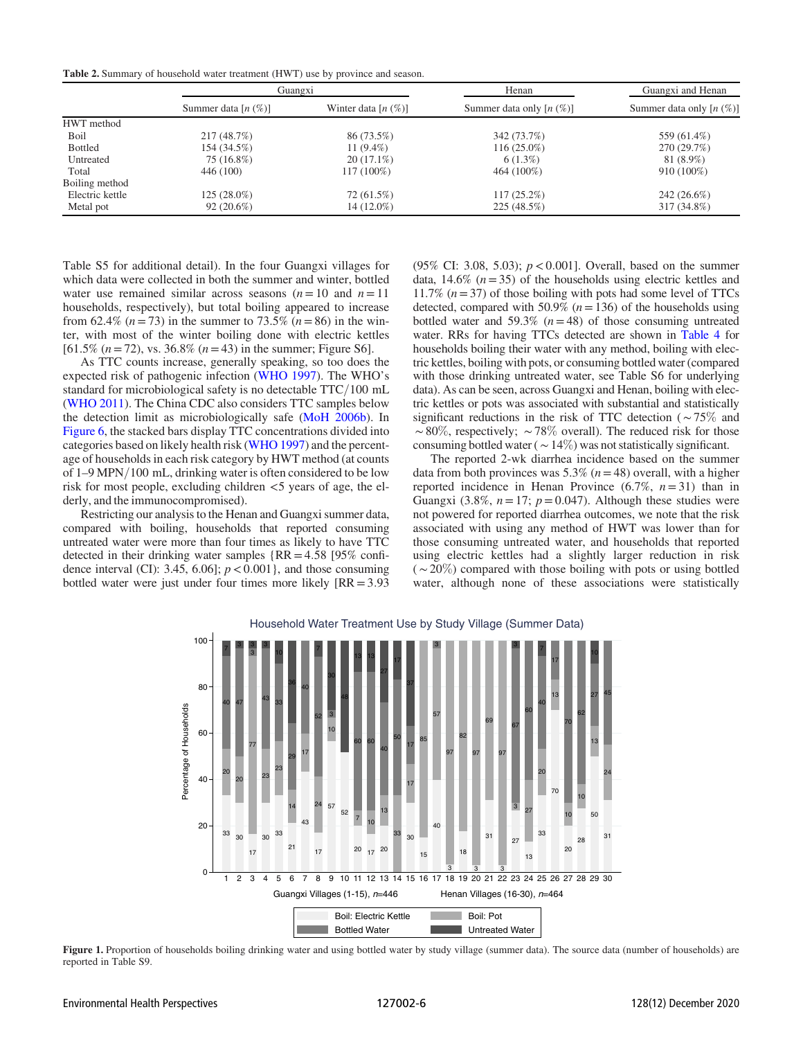<span id="page-5-1"></span><span id="page-5-0"></span>Table 2. Summary of household water treatment (HWT) use by province and season.

|                 | Guangxi               |                       | Henan                       | Guangxi and Henan             |  |
|-----------------|-----------------------|-----------------------|-----------------------------|-------------------------------|--|
|                 | Summer data $[n (%)]$ | Winter data $[n (%)]$ | Summer data only $[n (\%)]$ | Summer data only $[n \ (\%)]$ |  |
| HWT method      |                       |                       |                             |                               |  |
| Boil            | 217(48.7%)            | 86 (73.5%)            | 342 (73.7%)                 | 559 (61.4%)                   |  |
| <b>Bottled</b>  | 154 (34.5%)           | 11 $(9.4\%)$          | $116(25.0\%)$               | 270 (29.7%)                   |  |
| Untreated       | 75 (16.8%)            | $20(17.1\%)$          | $6(1.3\%)$                  | 81 (8.9%)                     |  |
| Total           | 446 (100)             | 117 (100%)            | 464 (100%)                  | $910(100\%)$                  |  |
| Boiling method  |                       |                       |                             |                               |  |
| Electric kettle | $125(28.0\%)$         | 72 (61.5%)            | $117(25.2\%)$               | $242(26.6\%)$                 |  |
| Metal pot       | $92(20.6\%)$          | 14 (12.0%)            | 225 (48.5%)                 | 317 (34.8%)                   |  |

Table S5 for additional detail). In the four Guangxi villages for which data were collected in both the summer and winter, bottled water use remained similar across seasons  $(n=10 \text{ and } n=11)$ households, respectively), but total boiling appeared to increase from 62.4% ( $n = 73$ ) in the summer to 73.5% ( $n = 86$ ) in the winter, with most of the winter boiling done with electric kettles  $[61.5\% (n=72), \text{vs. } 36.8\% (n=43) \text{ in the summer; Figure S6}].$ 

As TTC counts increase, generally speaking, so too does the expected risk of pathogenic infection ([WHO 1997](#page-12-42)). The WHO's standard for microbiological safety is no detectable  $TTC/100$  mL [\(WHO 2011\)](#page-12-31). The China CDC also considers TTC samples below the detection limit as microbiologically safe [\(MoH 2006b](#page-12-30)). In [Figure 6,](#page-8-0) the stacked bars display TTC concentrations divided into categories based on likely health risk [\(WHO 1997\)](#page-12-42) and the percentage of households in each risk category by HWT method (at counts of  $1-9$  MPN/100 mL, drinking water is often considered to be low risk for most people, excluding children  $<$ 5 years of age, the elderly, and the immunocompromised).

Restricting our analysis to the Henan and Guangxi summer data, compared with boiling, households that reported consuming untreated water were more than four times as likely to have TTC detected in their drinking water samples  $\{RR = 4.58 \}$  [95% confidence interval (CI): 3.45, 6.06];  $p < 0.001$ }, and those consuming bottled water were just under four times more likely [RR = 3:93 (95% CI: 3.08, 5.03);  $p < 0.001$ ]. Overall, based on the summer data, 14.6% ( $n = 35$ ) of the households using electric kettles and 11.7% ( $n = 37$ ) of those boiling with pots had some level of TTCs detected, compared with 50.9% ( $n=136$ ) of the households using bottled water and 59.3%  $(n=48)$  of those consuming untreated water. RRs for having TTCs detected are shown in [Table 4](#page-8-1) for households boiling their water with any method, boiling with electric kettles, boiling with pots, or consuming bottled water (compared with those drinking untreated water, see Table S6 for underlying data). As can be seen, across Guangxi and Henan, boiling with electric kettles or pots was associated with substantial and statistically significant reductions in the risk of TTC detection (∼75% and  $~\sim 80\%$ , respectively;  $~\sim 78\%$  overall). The reduced risk for those consuming bottled water (∼14%) was not statistically significant.

The reported 2-wk diarrhea incidence based on the summer data from both provinces was 5.3% ( $n=48$ ) overall, with a higher reported incidence in Henan Province  $(6.7\%, n=31)$  than in Guangxi (3.8%,  $n = 17$ ;  $p = 0.047$ ). Although these studies were not powered for reported diarrhea outcomes, we note that the risk associated with using any method of HWT was lower than for those consuming untreated water, and households that reported using electric kettles had a slightly larger reduction in risk  $({\sim}20\%)$  compared with those boiling with pots or using bottled water, although none of these associations were statistically



Figure 1. Proportion of households boiling drinking water and using bottled water by study village (summer data). The source data (number of households) are reported in Table S9.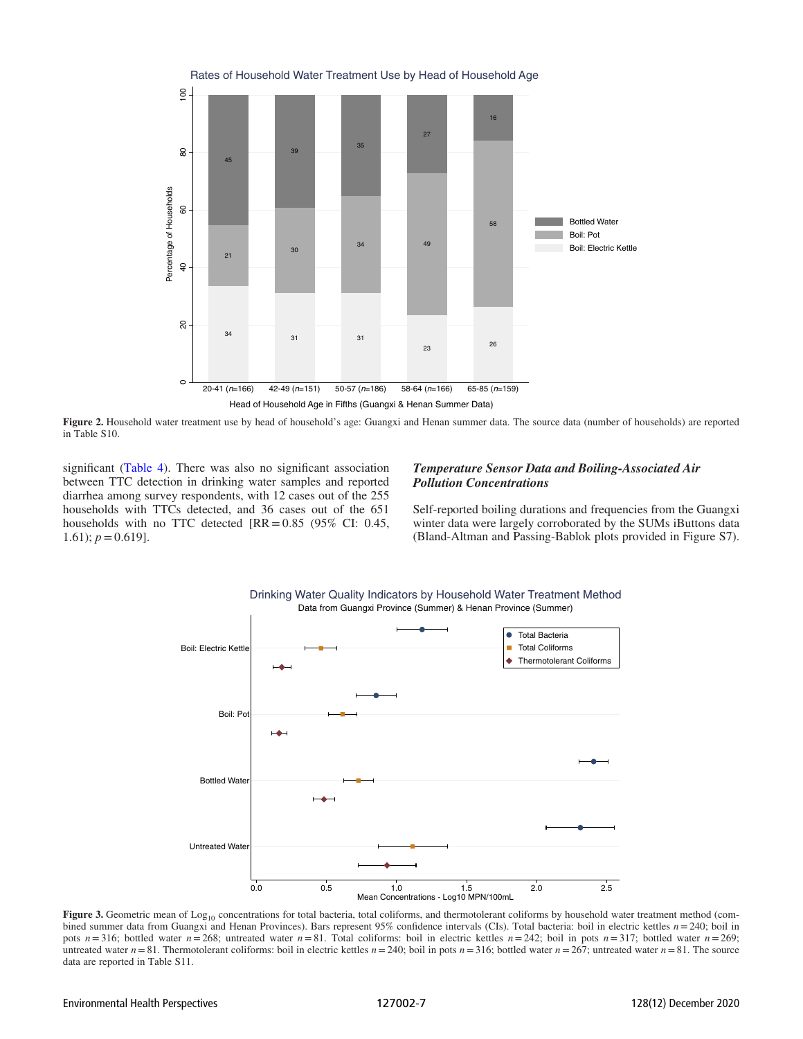<span id="page-6-0"></span>

Figure 2. Household water treatment use by head of household's age: Guangxi and Henan summer data. The source data (number of households) are reported in Table S10.

significant ([Table 4\)](#page-8-1). There was also no significant association between TTC detection in drinking water samples and reported diarrhea among survey respondents, with 12 cases out of the 255 households with TTCs detected, and 36 cases out of the 651 households with no TTC detected  $[RR = 0.85 \ (95\% \ CI: 0.45,$ 1.61);  $p = 0.619$ .

## Temperature Sensor Data and Boiling-Associated Air Pollution Concentrations

Self-reported boiling durations and frequencies from the Guangxi winter data were largely corroborated by the SUMs iButtons data (Bland-Altman and Passing-Bablok plots provided in Figure S7).



Figure 3. Geometric mean of Log<sub>10</sub> concentrations for total bacteria, total coliforms, and thermotolerant coliforms by household water treatment method (combined summer data from Guangxi and Henan Provinces). Bars represent 95% confidence intervals (CIs). Total bacteria: boil in electric kettles  $n = 240$ ; boil in pots  $n=316$ ; bottled water  $n=268$ ; untreated water  $n=81$ . Total coliforms: boil in electric kettles  $n=242$ ; boil in pots  $n=317$ ; bottled water  $n=269$ ; untreated water  $n=81$ . Thermotolerant coliforms: boil in electric kettles  $n=240$ ; boil in pots  $n=316$ ; bottled water  $n=267$ ; untreated water  $n=81$ . The source data are reported in Table S11.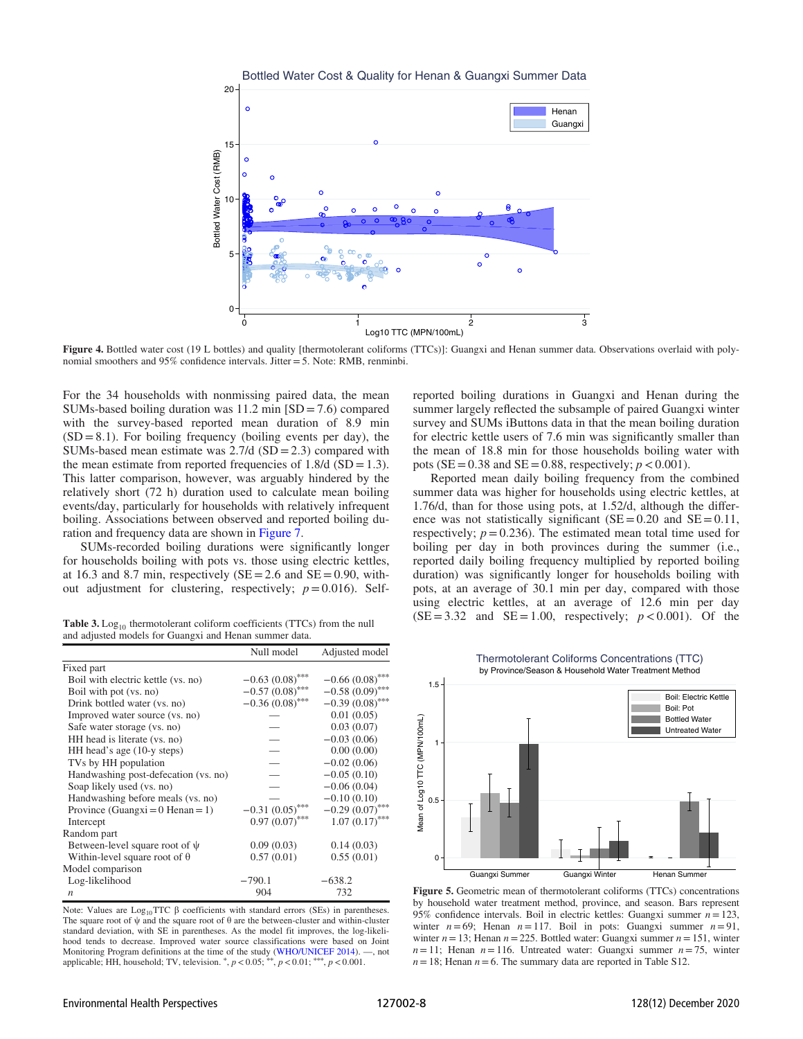<span id="page-7-0"></span>

Figure 4. Bottled water cost (19 L bottles) and quality [thermotolerant coliforms (TTCs)]: Guangxi and Henan summer data. Observations overlaid with polynomial smoothers and 95% confidence intervals. Jitter = 5. Note: RMB, renminbi.

For the 34 households with nonmissing paired data, the mean SUMs-based boiling duration was  $11.2 \text{ min}$  [SD = 7.6) compared with the survey-based reported mean duration of 8.9 min  $(SD = 8.1)$ . For boiling frequency (boiling events per day), the SUMs-based mean estimate was  $2.7/d$  (SD = 2.3) compared with the mean estimate from reported frequencies of  $1.8/d$  (SD = 1.3). This latter comparison, however, was arguably hindered by the relatively short (72 h) duration used to calculate mean boiling events/day, particularly for households with relatively infrequent boiling. Associations between observed and reported boiling duration and frequency data are shown in [Figure 7](#page-9-0).

SUMs-recorded boiling durations were significantly longer for households boiling with pots vs. those using electric kettles, at 16.3 and 8.7 min, respectively ( $SE = 2.6$  and  $SE = 0.90$ , without adjustment for clustering, respectively;  $p = 0.016$ ). Self-

<span id="page-7-1"></span>Table 3.  $Log<sub>10</sub>$  thermotolerant coliform coefficients (TTCs) from the null and adjusted models for Guangxi and Henan summer data.

|                                      | Null model        | Adjusted model    |
|--------------------------------------|-------------------|-------------------|
| Fixed part                           |                   |                   |
| Boil with electric kettle (vs. no)   | $-0.63(0.08)$ *** | $-0.66(0.08)$ *** |
| Boil with pot (vs. no)               | $-0.57(0.08)$ *** | $-0.58(0.09)$ *** |
| Drink bottled water (vs. no)         | $-0.36(0.08)$ *** | $-0.39(0.08)$ *** |
| Improved water source (vs. no)       |                   | 0.01(0.05)        |
| Safe water storage (vs. no)          |                   | 0.03(0.07)        |
| HH head is literate (vs. no)         |                   | $-0.03(0.06)$     |
| HH head's age (10-y steps)           |                   | 0.00(0.00)        |
| TVs by HH population                 |                   | $-0.02(0.06)$     |
| Handwashing post-defecation (vs. no) |                   | $-0.05(0.10)$     |
| Soap likely used (vs. no)            |                   | $-0.06(0.04)$     |
| Handwashing before meals (vs. no)    |                   | $-0.10(0.10)$     |
| Province (Guangxi = $0$ Henan = 1)   | $-0.31(0.05)$ *** | $-0.29(0.07)$ *** |
| Intercept                            | $0.97(0.07)$ ***  | $1.07 (0.17)$ *** |
| Random part                          |                   |                   |
| Between-level square root of $\psi$  | 0.09(0.03)        | 0.14(0.03)        |
| Within-level square root of $\theta$ | 0.57(0.01)        | 0.55(0.01)        |
| Model comparison                     |                   |                   |
| Log-likelihood                       | $-790.1$          | $-638.2$          |
| n                                    | 904               | 732               |

Note: Values are  $Log_{10}TTC \beta$  coefficients with standard errors (SEs) in parentheses. The square root of  $\psi$  and the square root of  $\theta$  are the between-cluster and within-cluster standard deviation, with SE in parentheses. As the model fit improves, the log-likelihood tends to decrease. Improved water source classifications were based on Joint Monitoring Program definitions at the time of the study ([WHO/UNICEF 2014\)](#page-12-7). —, not applicable; HH, household; TV, television.  $*$ ,  $p$  < 0.05;  $^{**}$ ,  $p$  < 0.01;  $^{***}$ ,  $p$  < 0.001. reported boiling durations in Guangxi and Henan during the summer largely reflected the subsample of paired Guangxi winter survey and SUMs iButtons data in that the mean boiling duration for electric kettle users of 7.6 min was significantly smaller than the mean of 18.8 min for those households boiling water with pots ( $SE = 0.38$  and  $SE = 0.88$ , respectively;  $p < 0.001$ ).

Reported mean daily boiling frequency from the combined summer data was higher for households using electric kettles, at 1.76/d, than for those using pots, at 1.52/d, although the difference was not statistically significant ( $SE = 0.20$  and  $SE = 0.11$ , respectively;  $p = 0.236$ ). The estimated mean total time used for boiling per day in both provinces during the summer (i.e., reported daily boiling frequency multiplied by reported boiling duration) was significantly longer for households boiling with pots, at an average of 30.1 min per day, compared with those using electric kettles, at an average of 12.6 min per day  $(SE = 3.32$  and  $SE = 1.00$ , respectively;  $p < 0.001$ ). Of the



Figure 5. Geometric mean of thermotolerant coliforms (TTCs) concentrations by household water treatment method, province, and season. Bars represent 95% confidence intervals. Boil in electric kettles: Guangxi summer  $n = 123$ , winter  $n = 69$ ; Henan  $n = 117$ . Boil in pots: Guangxi summer  $n = 91$ , winter  $n = 13$ ; Henan  $n = 225$ . Bottled water: Guangxi summer  $n = 151$ , winter  $n= 11$ ; Henan  $n= 116$ . Untreated water: Guangxi summer  $n= 75$ , winter  $n = 18$ ; Henan  $n = 6$ . The summary data are reported in Table S12.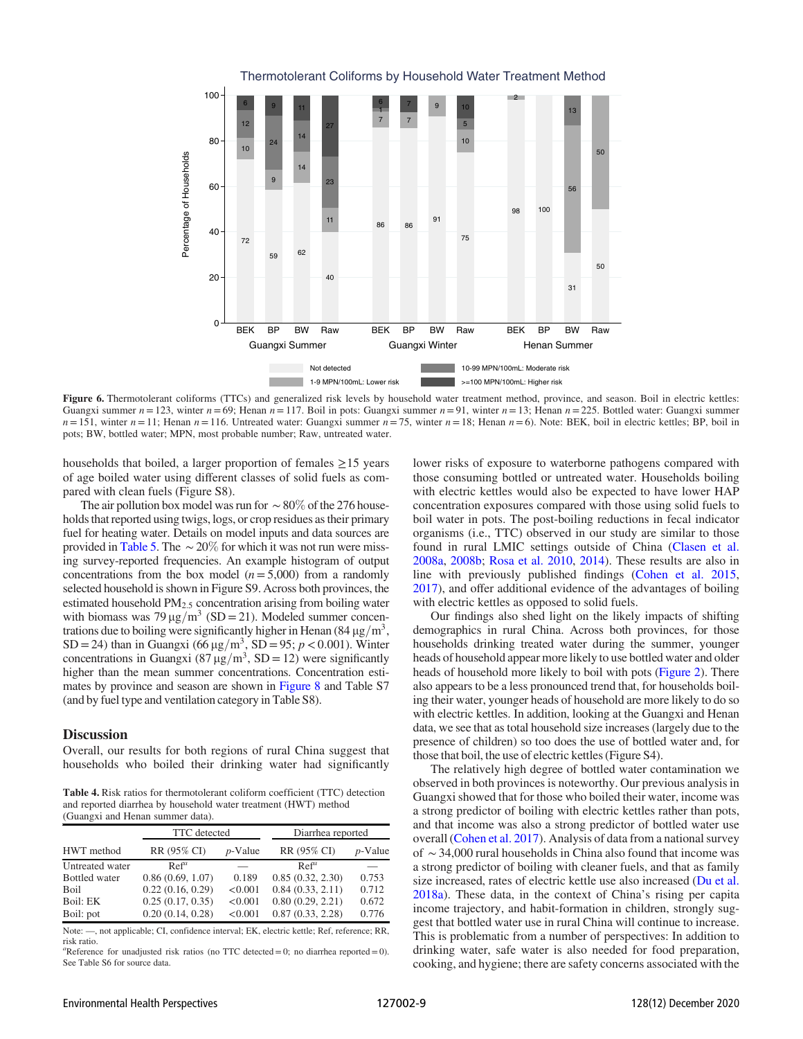<span id="page-8-0"></span>

Figure 6. Thermotolerant coliforms (TTCs) and generalized risk levels by household water treatment method, province, and season. Boil in electric kettles: Guangxi summer  $n = 123$ , winter  $n = 69$ ; Henan  $n = 117$ . Boil in pots: Guangxi summer  $n = 91$ , winter  $n = 13$ ; Henan  $n = 225$ . Bottled water: Guangxi summer  $n=151$ , winter  $n=11$ ; Henan  $n=116$ . Untreated water: Guangxi summer  $n=75$ , winter  $n=18$ ; Henan  $n=6$ ). Note: BEK, boil in electric kettles; BP, boil in pots; BW, bottled water; MPN, most probable number; Raw, untreated water.

households that boiled, a larger proportion of females  $\geq$ 15 years of age boiled water using different classes of solid fuels as compared with clean fuels (Figure S8).

The air pollution box model was run for  $\sim$  80% of the 276 households that reported using twigs, logs, or crop residues as their primary fuel for heating water. Details on model inputs and data sources are provided in [Table 5](#page-9-1). The  $\sim$  20% for which it was not run were missing survey-reported frequencies. An example histogram of output concentrations from the box model  $(n=5,000)$  from a randomly selected household is shown in Figure S9. Across both provinces, the estimated household PM<sub>2.5</sub> concentration arising from boiling water with biomass was 79  $\mu$ g/m<sup>3</sup> (SD = 21). Modeled summer concentrations due to boiling were significantly higher in Henan  $(84 \,\mu g/m^3)$ , SD = 24) than in Guangxi (66  $\mu$ g/m<sup>3</sup>, SD = 95; *p* < 0.001). Winter concentrations in Guangxi (87  $\mu$ g/m<sup>3</sup>, SD = 12) were significantly higher than the mean summer concentrations. Concentration estimates by province and season are shown in [Figure 8](#page-10-0) and Table S7 (and by fuel type and ventilation category in Table S8).

## **Discussion**

Overall, our results for both regions of rural China suggest that households who boiled their drinking water had significantly

<span id="page-8-1"></span>Table 4. Risk ratios for thermotolerant coliform coefficient (TTC) detection and reported diarrhea by household water treatment (HWT) method (Guangxi and Henan summer data).

|                      | <b>TTC</b> detected |            | Diarrhea reported |            |  |  |
|----------------------|---------------------|------------|-------------------|------------|--|--|
| HWT method           | RR (95% CI)         | $p$ -Value | RR (95% CI)       | $p$ -Value |  |  |
| Untreated water      | Ref <sup>a</sup>    |            | $Ref^{\alpha}$    |            |  |  |
| <b>Bottled</b> water | 0.86(0.69, 1.07)    | 0.189      | 0.85(0.32, 2.30)  | 0.753      |  |  |
| <b>Boil</b>          | 0.22(0.16, 0.29)    | < 0.001    | 0.84(0.33, 2.11)  | 0.712      |  |  |
| Boil: EK             | 0.25(0.17, 0.35)    | < 0.001    | 0.80(0.29, 2.21)  | 0.672      |  |  |
| Boil: pot            | 0.20(0.14, 0.28)    | < 0.001    | 0.87(0.33, 2.28)  | 0.776      |  |  |

Note: —, not applicable; CI, confidence interval; EK, electric kettle; Ref, reference; RR, risk ratio.

"Reference for unadjusted risk ratios (no TTC detected = 0; no diarrhea reported = 0). See Table S6 for source data

lower risks of exposure to waterborne pathogens compared with those consuming bottled or untreated water. Households boiling with electric kettles would also be expected to have lower HAP concentration exposures compared with those using solid fuels to boil water in pots. The post-boiling reductions in fecal indicator organisms (i.e., TTC) observed in our study are similar to those found in rural LMIC settings outside of China ([Clasen et al.](#page-11-14) [2008a](#page-11-14), [2008b](#page-11-15); [Rosa et al. 2010,](#page-12-43) [2014](#page-12-44)). These results are also in line with previously published findings ([Cohen et al. 2015,](#page-11-6) [2017](#page-11-7)), and offer additional evidence of the advantages of boiling with electric kettles as opposed to solid fuels.

Our findings also shed light on the likely impacts of shifting demographics in rural China. Across both provinces, for those households drinking treated water during the summer, younger heads of household appear more likely to use bottled water and older heads of household more likely to boil with pots ([Figure 2](#page-6-0)). There also appears to be a less pronounced trend that, for households boiling their water, younger heads of household are more likely to do so with electric kettles. In addition, looking at the Guangxi and Henan data, we see that as total household size increases (largely due to the presence of children) so too does the use of bottled water and, for those that boil, the use of electric kettles (Figure S4).

The relatively high degree of bottled water contamination we observed in both provinces is noteworthy. Our previous analysis in Guangxi showed that for those who boiled their water, income was a strong predictor of boiling with electric kettles rather than pots, and that income was also a strong predictor of bottled water use overall [\(Cohen et al. 2017](#page-11-7)). Analysis of data from a national survey of ∼34,000 rural households in China also found that income was a strong predictor of boiling with cleaner fuels, and that as family size increased, rates of electric kettle use also increased [\(Du et al.](#page-11-3) [2018a](#page-11-3)). These data, in the context of China's rising per capita income trajectory, and habit-formation in children, strongly suggest that bottled water use in rural China will continue to increase. This is problematic from a number of perspectives: In addition to drinking water, safe water is also needed for food preparation, cooking, and hygiene; there are safety concerns associated with the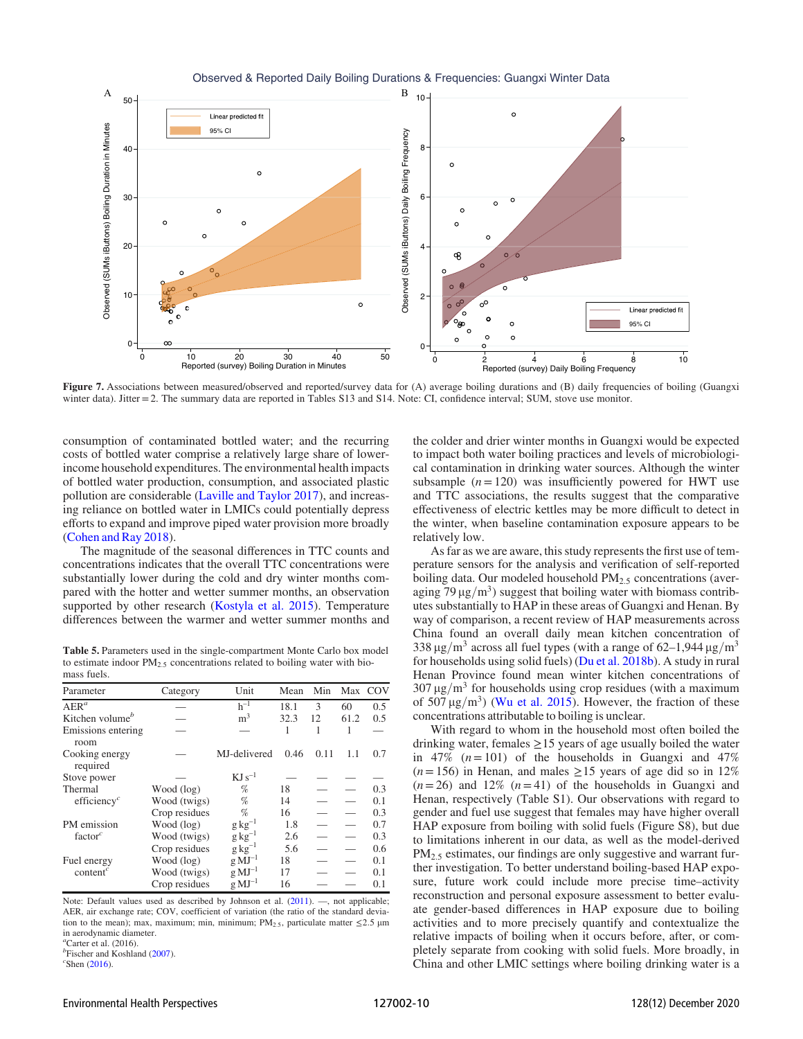<span id="page-9-0"></span>

Figure 7. Associations between measured/observed and reported/survey data for (A) average boiling durations and (B) daily frequencies of boiling (Guangxi winter data). Jitter = 2. The summary data are reported in Tables S13 and S14. Note: CI, confidence interval; SUM, stove use monitor.

consumption of contaminated bottled water; and the recurring costs of bottled water comprise a relatively large share of lowerincome household expenditures. The environmental health impacts of bottled water production, consumption, and associated plastic pollution are considerable ([Laville and Taylor 2017](#page-12-45)), and increasing reliance on bottled water in LMICs could potentially depress efforts to expand and improve piped water provision more broadly [\(Cohen and Ray 2018\)](#page-11-16).

The magnitude of the seasonal differences in TTC counts and concentrations indicates that the overall TTC concentrations were substantially lower during the cold and dry winter months compared with the hotter and wetter summer months, an observation supported by other research ([Kostyla et al. 2015](#page-12-26)). Temperature differences between the warmer and wetter summer months and

<span id="page-9-1"></span>Table 5. Parameters used in the single-compartment Monte Carlo box model to estimate indoor  $PM_{2.5}$  concentrations related to boiling water with biomass fuels.

| Parameter                            | Category      | Unit                 | Mean | Min  |      | Max COV |
|--------------------------------------|---------------|----------------------|------|------|------|---------|
| $AER^a$                              |               | $h^{-1}$             | 18.1 | 3    | 60   | 0.5     |
| Kitchen volume <sup>b</sup>          |               | m <sup>3</sup>       | 32.3 | 12   | 61.2 | 0.5     |
| Emissions entering<br>room           |               |                      | 1    | 1    |      |         |
| Cooking energy<br>required           |               | MJ-delivered         | 0.46 | 0.11 | 1.1  | 0.7     |
| Stove power                          |               | $KJ s^{-1}$          |      |      |      |         |
| Thermal                              | Wood (log)    | %                    | 18   |      |      | 0.3     |
| efficiency <sup><math>c</math></sup> | Wood (twigs)  | %                    | 14   |      |      | 0.1     |
|                                      | Crop residues | %                    | 16   |      |      | 0.3     |
| PM emission                          | Wood (log)    | $g kg^{-1}$          | 1.8  |      |      | 0.7     |
| factor $c$                           | Wood (twigs)  | $g\,kg^{-1}$         | 2.6  |      |      | 0.3     |
|                                      | Crop residues | $g\,kg^{-1}$         | 5.6  |      |      | 0.6     |
| Fuel energy                          | Wood (log)    | $g$ MJ <sup>-1</sup> | 18   |      |      | 0.1     |
| content <sup>c</sup>                 | Wood (twigs)  | $g$ MJ <sup>-1</sup> | 17   |      |      | 0.1     |
|                                      | Crop residues | $g$ MJ <sup>-1</sup> | 16   |      |      | 0.1     |

Note: Default values used as described by Johnson et al. ([2011\)](#page-12-36). —, not applicable; AER, air exchange rate; COV, coefficient of variation (the ratio of the standard deviation to the mean); max, maximum; min, minimum;  $PM_{2.5}$ , particulate matter  $\leq$ 2.5 µm in aerodynamic diameter.

 $^a$ Carter et al. (2016).

 $b^b$ Fischer and Koshland ([2007](#page-11-12)).  $\textdegree$ Shen [\(2016\)](#page-12-38).

the colder and drier winter months in Guangxi would be expected to impact both water boiling practices and levels of microbiological contamination in drinking water sources. Although the winter subsample  $(n = 120)$  was insufficiently powered for HWT use and TTC associations, the results suggest that the comparative effectiveness of electric kettles may be more difficult to detect in the winter, when baseline contamination exposure appears to be relatively low.

As far as we are aware, this study represents the first use of temperature sensors for the analysis and verification of self-reported boiling data. Our modeled household  $PM<sub>2.5</sub>$  concentrations (averaging 79  $\mu$ g/m<sup>3</sup>) suggest that boiling water with biomass contributes substantially to HAP in these areas of Guangxi and Henan. By way of comparison, a recent review of HAP measurements across China found an overall daily mean kitchen concentration of 338  $\mu$ g/m<sup>3</sup> across all fuel types (with a range of 62–1,944  $\mu$ g/m<sup>3</sup> for households using solid fuels) [\(Du et al. 2018b](#page-11-17)). A study in rural Henan Province found mean winter kitchen concentrations of  $307 \,\mathrm{\upmu g/m^3}$  for households using crop residues (with a maximum of 507  $\mu$ g/m<sup>3</sup>) ([Wu et al. 2015](#page-12-46)). However, the fraction of these concentrations attributable to boiling is unclear.

With regard to whom in the household most often boiled the drinking water, females  $\geq$  15 years of age usually boiled the water in 47%  $(n=101)$  of the households in Guangxi and 47%  $(n= 156)$  in Henan, and males  $\ge 15$  years of age did so in 12%  $(n= 26)$  and 12%  $(n= 41)$  of the households in Guangxi and Henan, respectively (Table S1). Our observations with regard to gender and fuel use suggest that females may have higher overall HAP exposure from boiling with solid fuels (Figure S8), but due to limitations inherent in our data, as well as the model-derived PM<sub>2.5</sub> estimates, our findings are only suggestive and warrant further investigation. To better understand boiling-based HAP exposure, future work could include more precise time–activity reconstruction and personal exposure assessment to better evaluate gender-based differences in HAP exposure due to boiling activities and to more precisely quantify and contextualize the relative impacts of boiling when it occurs before, after, or completely separate from cooking with solid fuels. More broadly, in China and other LMIC settings where boiling drinking water is a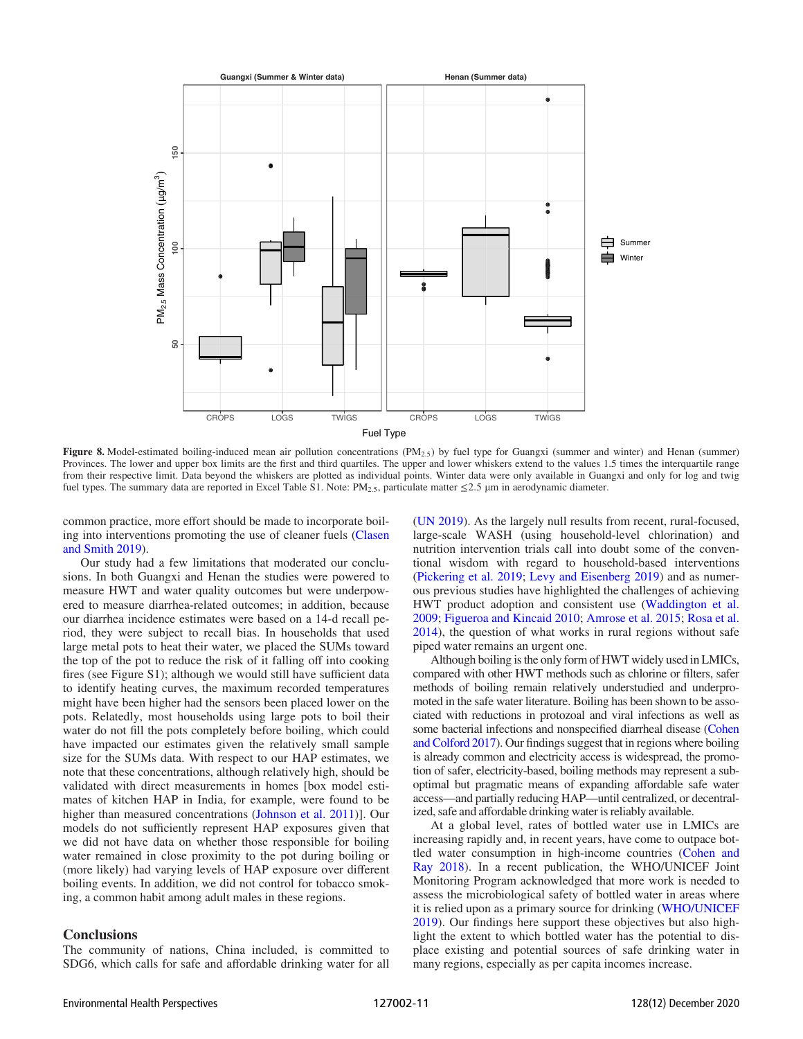<span id="page-10-0"></span>

Figure 8. Model-estimated boiling-induced mean air pollution concentrations  $(PM_{2.5})$  by fuel type for Guangxi (summer and winter) and Henan (summer) Provinces. The lower and upper box limits are the first and third quartiles. The upper and lower whiskers extend to the values 1.5 times the interquartile range from their respective limit. Data beyond the whiskers are plotted as individual points. Winter data were only available in Guangxi and only for log and twig fuel types. The summary data are reported in Excel Table S1. Note:  $PM_{2.5}$ , particulate matter  $\leq$ 2.5 µm in aerodynamic diameter.

common practice, more effort should be made to incorporate boiling into interventions promoting the use of cleaner fuels [\(Clasen](#page-11-18) [and Smith 2019](#page-11-18)).

Our study had a few limitations that moderated our conclusions. In both Guangxi and Henan the studies were powered to measure HWT and water quality outcomes but were underpowered to measure diarrhea-related outcomes; in addition, because our diarrhea incidence estimates were based on a 14-d recall period, they were subject to recall bias. In households that used large metal pots to heat their water, we placed the SUMs toward the top of the pot to reduce the risk of it falling off into cooking fires (see Figure S1); although we would still have sufficient data to identify heating curves, the maximum recorded temperatures might have been higher had the sensors been placed lower on the pots. Relatedly, most households using large pots to boil their water do not fill the pots completely before boiling, which could have impacted our estimates given the relatively small sample size for the SUMs data. With respect to our HAP estimates, we note that these concentrations, although relatively high, should be validated with direct measurements in homes [box model estimates of kitchen HAP in India, for example, were found to be higher than measured concentrations [\(Johnson et al. 2011\)](#page-12-36)]. Our models do not sufficiently represent HAP exposures given that we did not have data on whether those responsible for boiling water remained in close proximity to the pot during boiling or (more likely) had varying levels of HAP exposure over different boiling events. In addition, we did not control for tobacco smoking, a common habit among adult males in these regions.

## **Conclusions**

The community of nations, China included, is committed to SDG6, which calls for safe and affordable drinking water for all [\(UN 2019](#page-12-0)). As the largely null results from recent, rural-focused, large-scale WASH (using household-level chlorination) and nutrition intervention trials call into doubt some of the conventional wisdom with regard to household-based interventions [\(Pickering et al. 2019](#page-12-47); [Levy and Eisenberg 2019\)](#page-12-48) and as numerous previous studies have highlighted the challenges of achieving HWT product adoption and consistent use [\(Waddington et al.](#page-12-49) [2009](#page-12-49); [Figueroa and Kincaid 2010](#page-11-19); [Amrose et al. 2015](#page-11-20); [Rosa et al.](#page-12-44) [2014](#page-12-44)), the question of what works in rural regions without safe piped water remains an urgent one.

Although boiling is the only form of HWT widely used in LMICs, compared with other HWT methods such as chlorine or filters, safer methods of boiling remain relatively understudied and underpromoted in the safe water literature. Boiling has been shown to be associated with reductions in protozoal and viral infections as well as some bacterial infections and nonspecified diarrheal disease [\(Cohen](#page-11-1) [and Colford 2017](#page-11-1)). Our findings suggest that in regions where boiling is already common and electricity access is widespread, the promotion of safer, electricity-based, boiling methods may represent a suboptimal but pragmatic means of expanding affordable safe water access—and partially reducing HAP—until centralized, or decentralized, safe and affordable drinking water is reliably available.

At a global level, rates of bottled water use in LMICs are increasing rapidly and, in recent years, have come to outpace bottled water consumption in high-income countries ([Cohen and](#page-11-16) [Ray 2018](#page-11-16)). In a recent publication, the WHO/UNICEF Joint Monitoring Program acknowledged that more work is needed to assess the microbiological safety of bottled water in areas where it is relied upon as a primary source for drinking ([WHO/UNICEF](#page-12-1) [2019](#page-12-1)). Our findings here support these objectives but also highlight the extent to which bottled water has the potential to displace existing and potential sources of safe drinking water in many regions, especially as per capita incomes increase.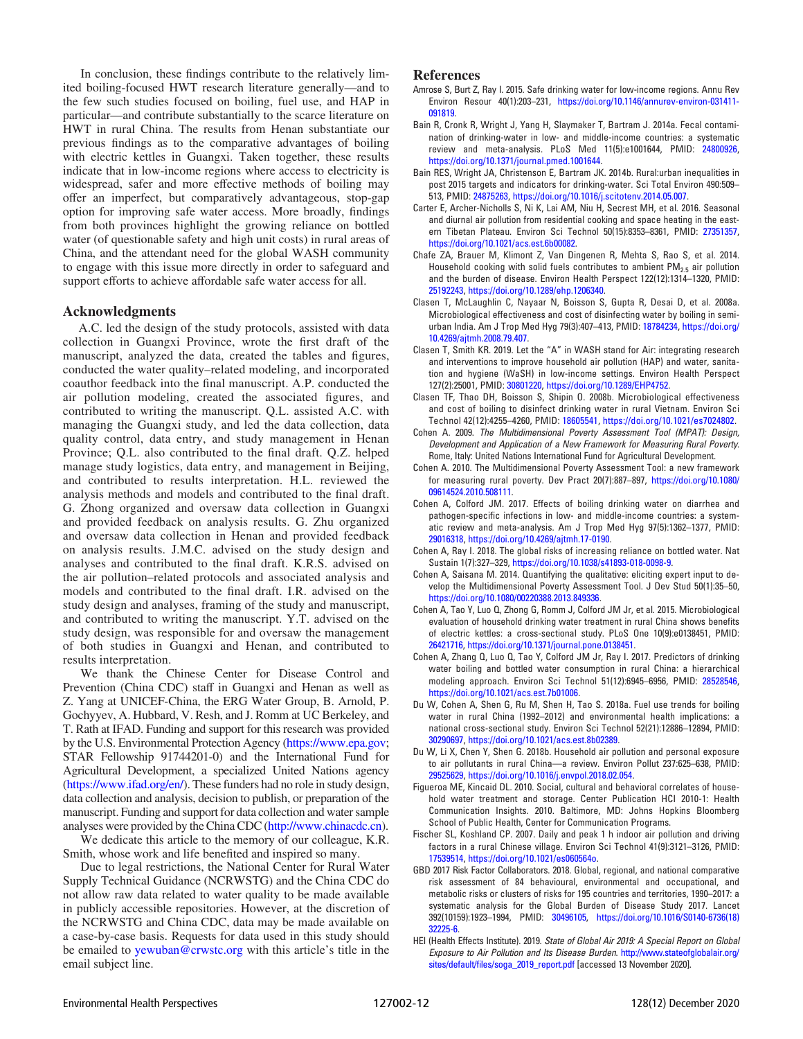In conclusion, these findings contribute to the relatively limited boiling-focused HWT research literature generally—and to the few such studies focused on boiling, fuel use, and HAP in particular—and contribute substantially to the scarce literature on HWT in rural China. The results from Henan substantiate our previous findings as to the comparative advantages of boiling with electric kettles in Guangxi. Taken together, these results indicate that in low-income regions where access to electricity is widespread, safer and more effective methods of boiling may offer an imperfect, but comparatively advantageous, stop-gap option for improving safe water access. More broadly, findings from both provinces highlight the growing reliance on bottled water (of questionable safety and high unit costs) in rural areas of China, and the attendant need for the global WASH community to engage with this issue more directly in order to safeguard and support efforts to achieve affordable safe water access for all.

#### Acknowledgments

A.C. led the design of the study protocols, assisted with data collection in Guangxi Province, wrote the first draft of the manuscript, analyzed the data, created the tables and figures, conducted the water quality–related modeling, and incorporated coauthor feedback into the final manuscript. A.P. conducted the air pollution modeling, created the associated figures, and contributed to writing the manuscript. Q.L. assisted A.C. with managing the Guangxi study, and led the data collection, data quality control, data entry, and study management in Henan Province; Q.L. also contributed to the final draft. Q.Z. helped manage study logistics, data entry, and management in Beijing, and contributed to results interpretation. H.L. reviewed the analysis methods and models and contributed to the final draft. G. Zhong organized and oversaw data collection in Guangxi and provided feedback on analysis results. G. Zhu organized and oversaw data collection in Henan and provided feedback on analysis results. J.M.C. advised on the study design and analyses and contributed to the final draft. K.R.S. advised on the air pollution–related protocols and associated analysis and models and contributed to the final draft. I.R. advised on the study design and analyses, framing of the study and manuscript, and contributed to writing the manuscript. Y.T. advised on the study design, was responsible for and oversaw the management of both studies in Guangxi and Henan, and contributed to results interpretation.

We thank the Chinese Center for Disease Control and Prevention (China CDC) staff in Guangxi and Henan as well as Z. Yang at UNICEF-China, the ERG Water Group, B. Arnold, P. Gochyyev, A. Hubbard, V. Resh, and J. Romm at UC Berkeley, and T. Rath at IFAD. Funding and support for this research was provided by the U.S. Environmental Protection Agency (<https://www.epa.gov>; STAR Fellowship 91744201-0) and the International Fund for Agricultural Development, a specialized United Nations agency [\(https://www.ifad.org/en/\)](https://www.ifad.org/en/). These funders had no role in study design, data collection and analysis, decision to publish, or preparation of the manuscript. Funding and support for data collection and water sample analyses were provided by the China CDC [\(http://www.chinacdc.cn](http://www.chinacdc.cn)).

We dedicate this article to the memory of our colleague, K.R. Smith, whose work and life benefited and inspired so many.

Due to legal restrictions, the National Center for Rural Water Supply Technical Guidance (NCRWSTG) and the China CDC do not allow raw data related to water quality to be made available in publicly accessible repositories. However, at the discretion of the NCRWSTG and China CDC, data may be made available on a case-by-case basis. Requests for data used in this study should be emailed to [yewuban@crwstc.org](mailto:yewuban@crwstc.org) with this article's title in the email subject line.

#### References

- <span id="page-11-20"></span>Amrose S, Burt Z, Ray I. 2015. Safe drinking water for low-income regions. Annu Rev Environ Resour 40(1):203–231, [https://doi.org/10.1146/annurev-environ-031411-](https://doi.org/10.1146/annurev-environ-031411-091819) [091819.](https://doi.org/10.1146/annurev-environ-031411-091819)
- <span id="page-11-13"></span>Bain R, Cronk R, Wright J, Yang H, Slaymaker T, Bartram J. 2014a. Fecal contamination of drinking-water in low- and middle-income countries: a systematic review and meta-analysis. PLoS Med 11(5):e1001644, PMID: [24800926](https://www.ncbi.nlm.nih.gov/pubmed/24800926), <https://doi.org/10.1371/journal.pmed.1001644>.
- <span id="page-11-0"></span>Bain RES, Wright JA, Christenson E, Bartram JK. 2014b. Rural:urban inequalities in post 2015 targets and indicators for drinking-water. Sci Total Environ 490:509– 513, PMID: [24875263,](https://www.ncbi.nlm.nih.gov/pubmed/24875263) [https://doi.org/10.1016/j.scitotenv.2014.05.007.](https://doi.org/10.1016/j.scitotenv.2014.05.007)
- <span id="page-11-11"></span>Carter E, Archer-Nicholls S, Ni K, Lai AM, Niu H, Secrest MH, et al. 2016. Seasonal and diurnal air pollution from residential cooking and space heating in the eastern Tibetan Plateau. Environ Sci Technol 50(15):8353–8361, PMID: [27351357](https://www.ncbi.nlm.nih.gov/pubmed/27351357), [https://doi.org/10.1021/acs.est.6b00082.](https://doi.org/10.1021/acs.est.6b00082)
- <span id="page-11-4"></span>Chafe ZA, Brauer M, Klimont Z, Van Dingenen R, Mehta S, Rao S, et al. 2014. Household cooking with solid fuels contributes to ambient  $PM_{2.5}$  air pollution and the burden of disease. Environ Health Perspect 122(12):1314–1320, PMID: [25192243,](https://www.ncbi.nlm.nih.gov/pubmed/25192243) <https://doi.org/10.1289/ehp.1206340>.
- <span id="page-11-14"></span>Clasen T, McLaughlin C, Nayaar N, Boisson S, Gupta R, Desai D, et al. 2008a. Microbiological effectiveness and cost of disinfecting water by boiling in semiurban India. Am J Trop Med Hyg 79(3):407–413, PMID: [18784234,](https://www.ncbi.nlm.nih.gov/pubmed/18784234) [https://doi.org/](https://doi.org/10.4269/ajtmh.2008.79.407) [10.4269/ajtmh.2008.79.407](https://doi.org/10.4269/ajtmh.2008.79.407).
- <span id="page-11-18"></span>Clasen T, Smith KR. 2019. Let the "A" in WASH stand for Air: integrating research and interventions to improve household air pollution (HAP) and water, sanitation and hygiene (WaSH) in low-income settings. Environ Health Perspect 127(2):25001, PMID: [30801220](https://www.ncbi.nlm.nih.gov/pubmed/30801220), [https://doi.org/10.1289/EHP4752.](https://doi.org/10.1289/EHP4752)
- <span id="page-11-15"></span>Clasen TF, Thao DH, Boisson S, Shipin O. 2008b. Microbiological effectiveness and cost of boiling to disinfect drinking water in rural Vietnam. Environ Sci Technol 42(12):4255–4260, PMID: [18605541](https://www.ncbi.nlm.nih.gov/pubmed/18605541), <https://doi.org/10.1021/es7024802>.
- <span id="page-11-8"></span>Cohen A. 2009. The Multidimensional Poverty Assessment Tool (MPAT): Design, Development and Application of a New Framework for Measuring Rural Poverty. Rome, Italy: United Nations International Fund for Agricultural Development.
- <span id="page-11-9"></span>Cohen A. 2010. The Multidimensional Poverty Assessment Tool: a new framework for measuring rural poverty. Dev Pract 20(7):887–897, [https://doi.org/10.1080/](https://doi.org/10.1080/09614524.2010.508111) [09614524.2010.508111](https://doi.org/10.1080/09614524.2010.508111).
- <span id="page-11-1"></span>Cohen A, Colford JM. 2017. Effects of boiling drinking water on diarrhea and pathogen-specific infections in low- and middle-income countries: a systematic review and meta-analysis. Am J Trop Med Hyg 97(5):1362–1377, PMID: [29016318,](https://www.ncbi.nlm.nih.gov/pubmed/29016318) [https://doi.org/10.4269/ajtmh.17-0190.](https://doi.org/10.4269/ajtmh.17-0190)
- <span id="page-11-16"></span>Cohen A, Ray I. 2018. The global risks of increasing reliance on bottled water. Nat Sustain 1(7):327–329, [https://doi.org/10.1038/s41893-018-0098-9.](https://doi.org/10.1038/s41893-018-0098-9)
- <span id="page-11-10"></span>Cohen A, Saisana M. 2014. Quantifying the qualitative: eliciting expert input to develop the Multidimensional Poverty Assessment Tool. J Dev Stud 50(1):35–50, <https://doi.org/10.1080/00220388.2013.849336>.
- <span id="page-11-6"></span>Cohen A, Tao Y, Luo Q, Zhong G, Romm J, Colford JM Jr, et al. 2015. Microbiological evaluation of household drinking water treatment in rural China shows benefits of electric kettles: a cross-sectional study. PLoS One 10(9):e0138451, PMID: [26421716](https://www.ncbi.nlm.nih.gov/pubmed/26421716), <https://doi.org/10.1371/journal.pone.0138451>.
- <span id="page-11-7"></span>Cohen A, Zhang Q, Luo Q, Tao Y, Colford JM Jr, Ray I. 2017. Predictors of drinking water boiling and bottled water consumption in rural China: a hierarchical modeling approach. Environ Sci Technol 51(12):6945–6956, PMID: [28528546](https://www.ncbi.nlm.nih.gov/pubmed/28528546), <https://doi.org/10.1021/acs.est.7b01006>.
- <span id="page-11-3"></span>Du W, Cohen A, Shen G, Ru M, Shen H, Tao S. 2018a. Fuel use trends for boiling water in rural China (1992–2012) and environmental health implications: a national cross-sectional study. Environ Sci Technol 52(21):12886–12894, PMID: [30290697,](https://www.ncbi.nlm.nih.gov/pubmed/30290697) <https://doi.org/10.1021/acs.est.8b02389>.
- <span id="page-11-17"></span>Du W, Li X, Chen Y, Shen G. 2018b. Household air pollution and personal exposure to air pollutants in rural China—a review. Environ Pollut 237:625–638, PMID: [29525629,](https://www.ncbi.nlm.nih.gov/pubmed/29525629) <https://doi.org/10.1016/j.envpol.2018.02.054>.
- <span id="page-11-19"></span>Figueroa ME, Kincaid DL. 2010. Social, cultural and behavioral correlates of household water treatment and storage. Center Publication HCI 2010-1: Health Communication Insights. 2010. Baltimore, MD: Johns Hopkins Bloomberg School of Public Health, Center for Communication Programs.
- <span id="page-11-12"></span>Fischer SL, Koshland CP. 2007. Daily and peak 1 h indoor air pollution and driving factors in a rural Chinese village. Environ Sci Technol 41(9):3121–3126, PMID: [17539514,](https://www.ncbi.nlm.nih.gov/pubmed/17539514) <https://doi.org/10.1021/es060564o>.
- <span id="page-11-2"></span>GBD 2017 Risk Factor Collaborators. 2018. Global, regional, and national comparative risk assessment of 84 behavioural, environmental and occupational, and metabolic risks or clusters of risks for 195 countries and territories, 1990–2017: a systematic analysis for the Global Burden of Disease Study 2017. Lancet 392(10159):1923–1994, PMID: [30496105](https://www.ncbi.nlm.nih.gov/pubmed/30496105), [https://doi.org/10.1016/S0140-6736\(18\)](https://doi.org/10.1016/S0140-6736(18)32225-6) [32225-6](https://doi.org/10.1016/S0140-6736(18)32225-6).
- <span id="page-11-5"></span>HEI (Health Effects Institute). 2019. State of Global Air 2019: A Special Report on Global Exposure to Air Pollution and Its Disease Burden. [http://www.stateofglobalair.org/](http://www.stateofglobalair.org/sites/default/files/soga_2019_report.pdf) [sites/default/files/soga\\_2019\\_report.pdf](http://www.stateofglobalair.org/sites/default/files/soga_2019_report.pdf) [accessed 13 November 2020].